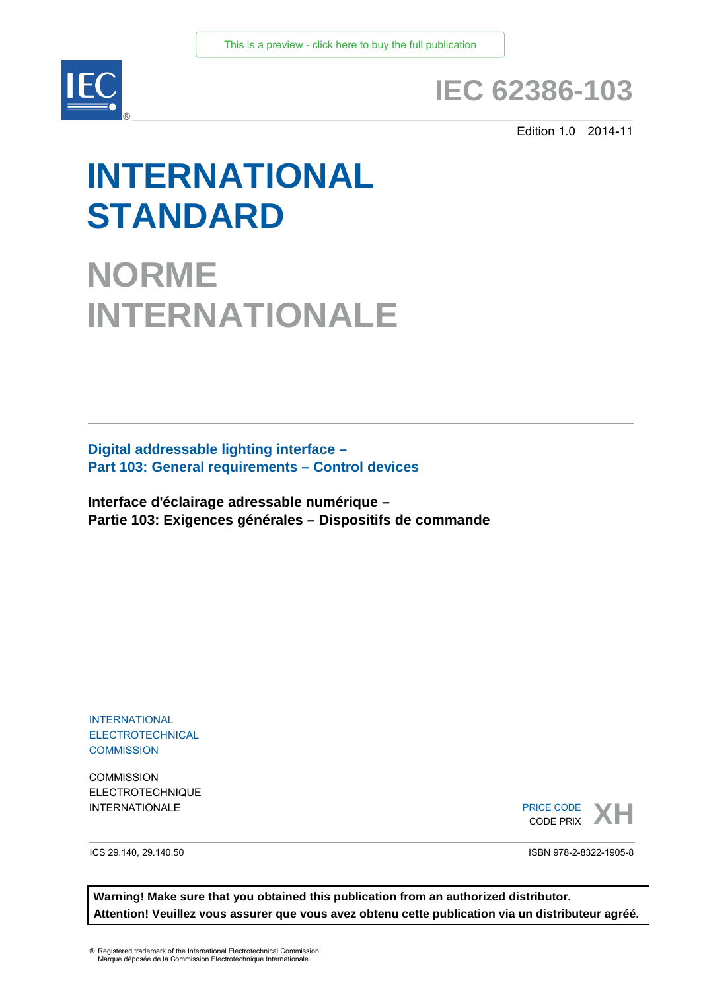

# **IEC 62386-103**

Edition 1.0 2014-11

# **INTERNATIONAL STANDARD**

**NORME INTERNATIONALE**

**Digital addressable lighting interface – Part 103: General requirements – Control devices**

**Interface d'éclairage adressable numérique – Partie 103: Exigences générales – Dispositifs de commande**

INTERNATIONAL **ELECTROTECHNICAL COMMISSION** 

**COMMISSION** ELECTROTECHNIQUE

INTERNATIONALE PRICE CODE **XH** PRICE CODE CODE PRIX

ICS 29.140, 29.140.50

ISBN 978-2-8322-1905-8

**Warning! Make sure that you obtained this publication from an authorized distributor. Attention! Veuillez vous assurer que vous avez obtenu cette publication via un distributeur agréé.**

® Registered trademark of the International Electrotechnical Commission Marque déposée de la Commission Electrotechnique Internationale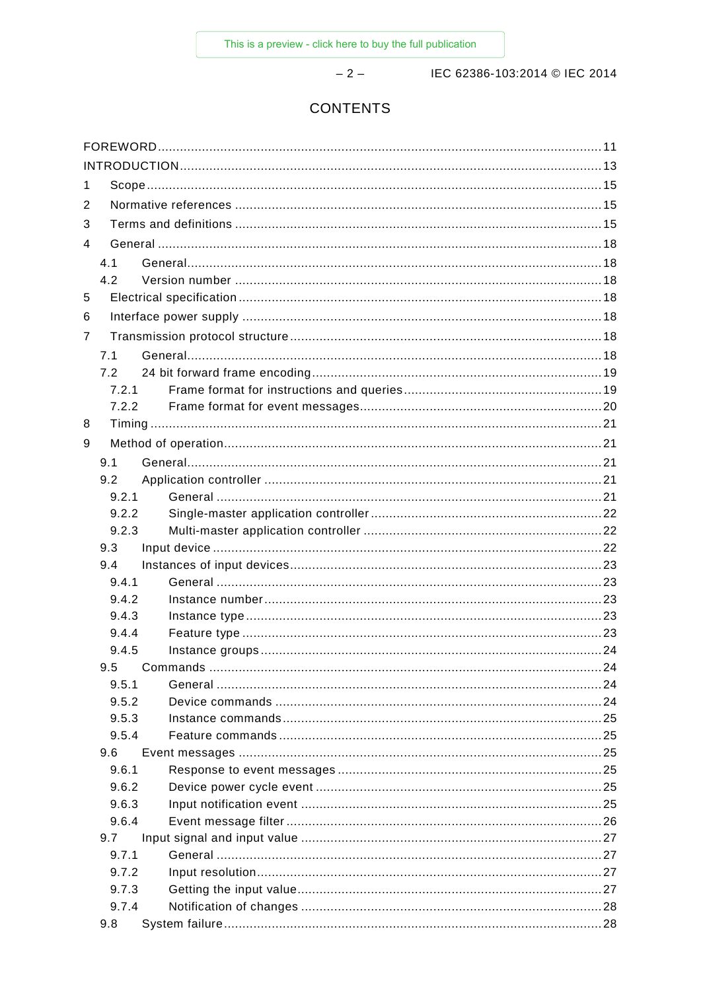$-2-$ 

IEC 62386-103:2014 © IEC 2014

# **CONTENTS**

| 1 |                |  |
|---|----------------|--|
| 2 |                |  |
| 3 |                |  |
| 4 |                |  |
|   |                |  |
|   | 4.1<br>4.2     |  |
| 5 |                |  |
|   |                |  |
| 6 |                |  |
| 7 |                |  |
|   | 7.1            |  |
|   | 7.2            |  |
|   | 7.2.1          |  |
|   | 7.2.2          |  |
| 8 |                |  |
| 9 |                |  |
|   | 9.1            |  |
|   | 9.2            |  |
|   | 9.2.1          |  |
|   | 9.2.2          |  |
|   | 9.2.3          |  |
|   | 9.3            |  |
|   | 9.4            |  |
|   | 9.4.1          |  |
|   | 9.4.2          |  |
|   | 9.4.3          |  |
|   | 9.4.4          |  |
|   | 9.4.5          |  |
|   | 9.5            |  |
|   | 9.5.1          |  |
|   | 9.5.2          |  |
|   | 9.5.3          |  |
|   | 9.5.4          |  |
|   | 9.6            |  |
|   | 9.6.1          |  |
|   | 9.6.2          |  |
|   | 9.6.3          |  |
|   | 9.6.4          |  |
|   | 9.7            |  |
|   | 9.7.1<br>9.7.2 |  |
|   | 9.7.3          |  |
|   | 9.7.4          |  |
|   | 9.8            |  |
|   |                |  |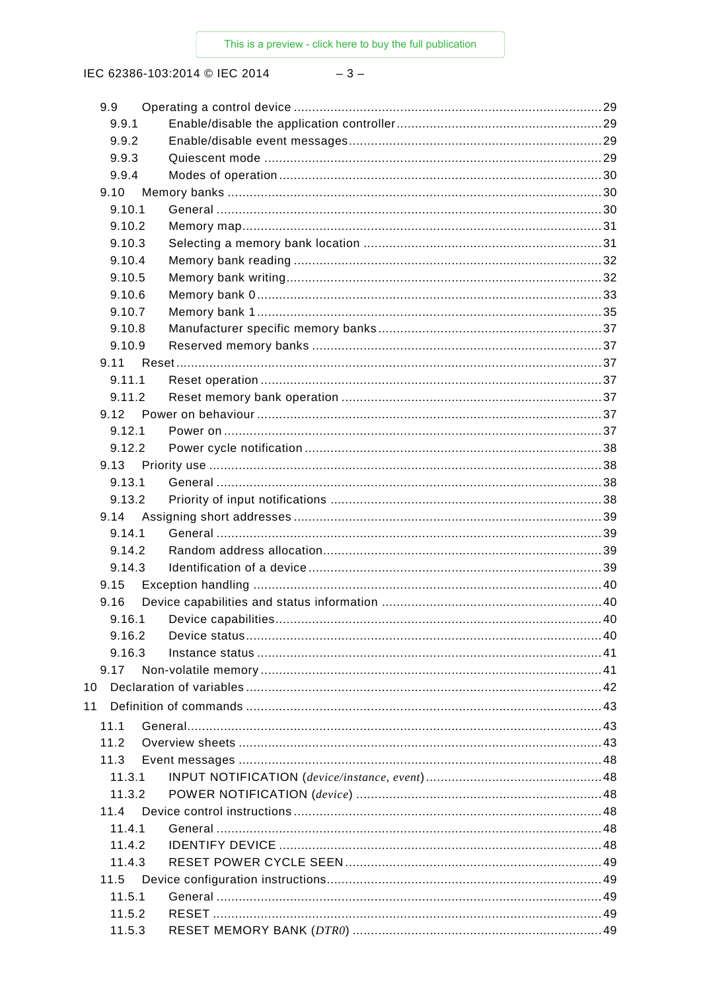IEC 62386-103:2014 © IEC 2014

# $-3-$

| 9.9    |  |  |
|--------|--|--|
| 9.9.1  |  |  |
| 9.9.2  |  |  |
| 9.9.3  |  |  |
| 9.9.4  |  |  |
| 9.10   |  |  |
| 9.10.1 |  |  |
| 9.10.2 |  |  |
| 9.10.3 |  |  |
| 9.10.4 |  |  |
| 9.10.5 |  |  |
| 9.10.6 |  |  |
| 9.10.7 |  |  |
| 9.10.8 |  |  |
| 9.10.9 |  |  |
| 9.11   |  |  |
| 9.11.1 |  |  |
| 9.11.2 |  |  |
| 9.12   |  |  |
| 9.12.1 |  |  |
| 9.12.2 |  |  |
| 9.13   |  |  |
| 9.13.1 |  |  |
| 9.13.2 |  |  |
| 9.14   |  |  |
| 9.14.1 |  |  |
| 9.14.2 |  |  |
| 9.14.3 |  |  |
| 9.15   |  |  |
| 9.16   |  |  |
| 9.16.1 |  |  |
| 9.16.2 |  |  |
| 9.16.3 |  |  |
| 9.17   |  |  |
| 10     |  |  |
| 11     |  |  |
| 11.1   |  |  |
| 11.2   |  |  |
| 11.3   |  |  |
| 11.3.1 |  |  |
| 11.3.2 |  |  |
| 11.4   |  |  |
| 11.4.1 |  |  |
| 11.4.2 |  |  |
| 11.4.3 |  |  |
| 11.5   |  |  |
| 11.5.1 |  |  |
| 11.5.2 |  |  |
| 11.5.3 |  |  |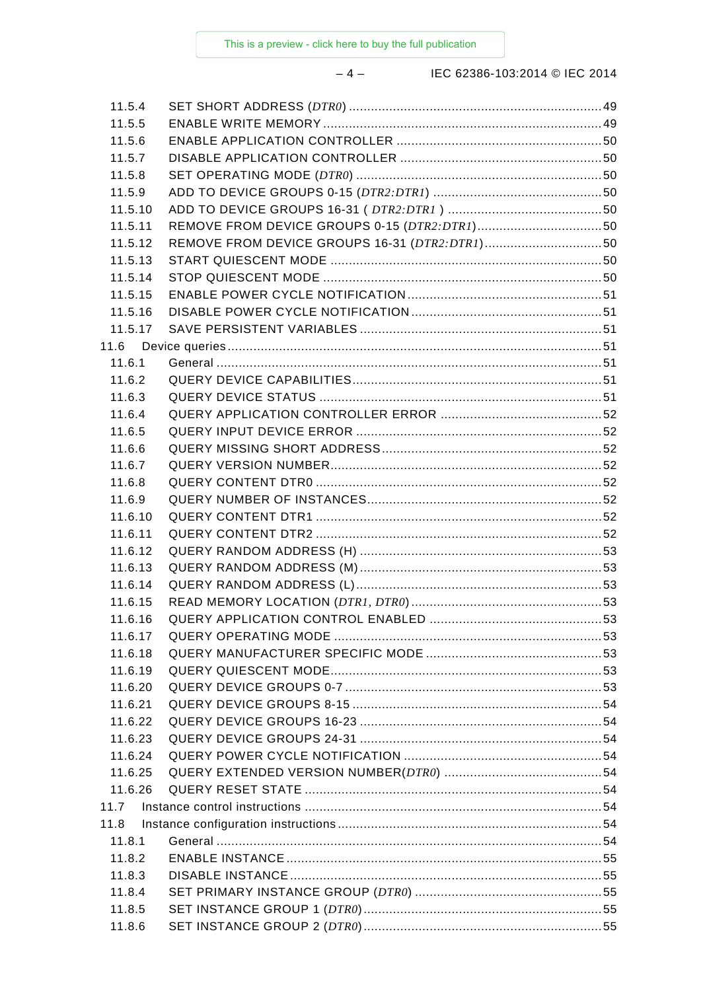– 4 – IEC 62386-103:2014 © IEC 2014

| 11.5.4             |                                                |  |
|--------------------|------------------------------------------------|--|
| 11.5.5             |                                                |  |
| 11.5.6             |                                                |  |
| 11.5.7             |                                                |  |
| 11.5.8             |                                                |  |
| 11.5.9             |                                                |  |
| 11.5.10            |                                                |  |
| 11.5.11            |                                                |  |
| 11.5.12            | REMOVE FROM DEVICE GROUPS 16-31 (DTR2: DTR1)50 |  |
| 11.5.13            |                                                |  |
| 11.5.14            |                                                |  |
| 11.5.15            |                                                |  |
| 11.5.16            |                                                |  |
| 11.5.17            |                                                |  |
|                    |                                                |  |
| 11.6.1             |                                                |  |
| 11.6.2             |                                                |  |
| 11.6.3             |                                                |  |
| 11.6.4             |                                                |  |
| 11.6.5             |                                                |  |
| 11.6.6             |                                                |  |
| 11.6.7             |                                                |  |
| 11.6.8             |                                                |  |
| 11.6.9             |                                                |  |
| 11.6.10            |                                                |  |
| 11.6.11<br>11.6.12 |                                                |  |
| 11.6.13            |                                                |  |
| 11.6.14            |                                                |  |
| 11.6.15            |                                                |  |
| 11.6.16            |                                                |  |
| 11.6.17            |                                                |  |
| 11.6.18            |                                                |  |
| 11.6.19            |                                                |  |
| 11.6.20            |                                                |  |
| 11.6.21            |                                                |  |
| 11.6.22            |                                                |  |
| 11.6.23            |                                                |  |
| 11.6.24            |                                                |  |
| 11.6.25            |                                                |  |
| 11.6.26            |                                                |  |
| 11.7               |                                                |  |
|                    |                                                |  |
| 11.8.1             |                                                |  |
| 11.8.2             |                                                |  |
| 11.8.3             |                                                |  |
| 11.8.4             |                                                |  |
| 11.8.5             |                                                |  |
| 11.8.6             |                                                |  |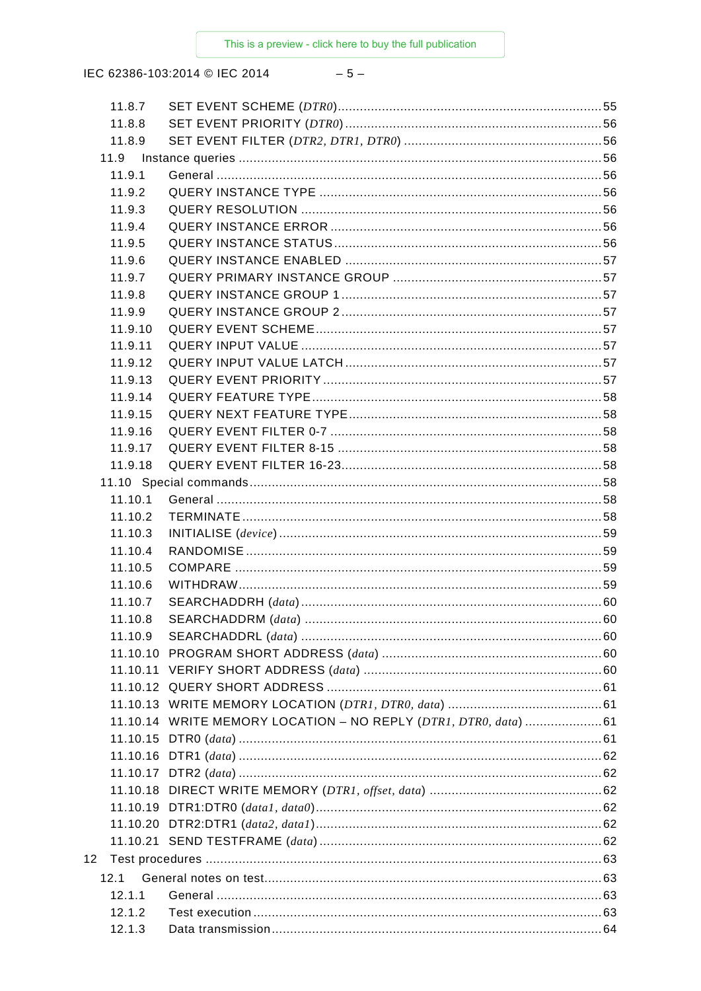IEC 62386-103:2014 © IEC 2014

# $-5-$

| 11.8.7          |                                                                 |  |
|-----------------|-----------------------------------------------------------------|--|
| 11.8.8          |                                                                 |  |
| 11.8.9          |                                                                 |  |
|                 |                                                                 |  |
| 11.9.1          |                                                                 |  |
| 11.9.2          |                                                                 |  |
| 11.9.3          |                                                                 |  |
| 11.9.4          |                                                                 |  |
| 11.9.5          |                                                                 |  |
| 11.9.6          |                                                                 |  |
| 11.9.7          |                                                                 |  |
| 11.9.8          |                                                                 |  |
| 11.9.9          |                                                                 |  |
| 11.9.10         |                                                                 |  |
| 11.9.11         |                                                                 |  |
| 11.9.12         |                                                                 |  |
| 11.9.13         |                                                                 |  |
| 11.9.14         |                                                                 |  |
| 11.9.15         |                                                                 |  |
| 11.9.16         |                                                                 |  |
| 11.9.17         |                                                                 |  |
| 11.9.18         |                                                                 |  |
|                 |                                                                 |  |
| 11.10.1         |                                                                 |  |
| 11.10.2         |                                                                 |  |
| 11.10.3         |                                                                 |  |
| 11.10.4         |                                                                 |  |
| 11.10.5         |                                                                 |  |
| 11.10.6         |                                                                 |  |
| 11.10.7         |                                                                 |  |
| 11.10.8         |                                                                 |  |
| 11.10.9         |                                                                 |  |
|                 |                                                                 |  |
| 11.10.11        |                                                                 |  |
|                 |                                                                 |  |
|                 |                                                                 |  |
|                 | 11.10.14 WRITE MEMORY LOCATION - NO REPLY (DTR1, DTR0, data) 61 |  |
|                 |                                                                 |  |
|                 |                                                                 |  |
|                 |                                                                 |  |
|                 |                                                                 |  |
|                 |                                                                 |  |
|                 |                                                                 |  |
|                 |                                                                 |  |
| 12 <sup>°</sup> |                                                                 |  |
| 12.1            |                                                                 |  |
| 12.1.1          |                                                                 |  |
| 12.1.2          |                                                                 |  |
| 12.1.3          |                                                                 |  |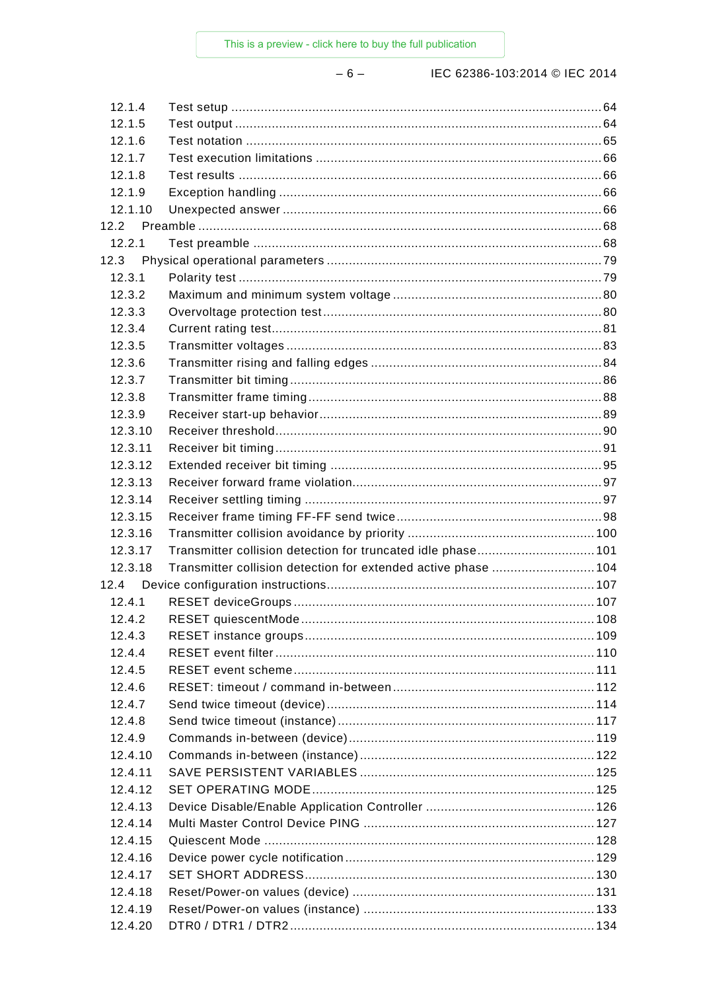$-6-$ 

IEC 62386-103:2014 © IEC 2014

| 12.1.4             |                                                                |  |
|--------------------|----------------------------------------------------------------|--|
| 12.1.5             |                                                                |  |
| 12.1.6             |                                                                |  |
| 12.1.7             |                                                                |  |
| 12.1.8             |                                                                |  |
| 12.1.9             |                                                                |  |
| 12.1.10            |                                                                |  |
|                    |                                                                |  |
| 12.2.1             |                                                                |  |
| 12.3               |                                                                |  |
| 12.3.1             |                                                                |  |
| 12.3.2             |                                                                |  |
| 12.3.3             |                                                                |  |
| 12.3.4             |                                                                |  |
| 12.3.5             |                                                                |  |
| 12.3.6             |                                                                |  |
| 12.3.7             |                                                                |  |
| 12.3.8             |                                                                |  |
| 12.3.9             |                                                                |  |
| 12.3.10            |                                                                |  |
| 12.3.11            |                                                                |  |
| 12.3.12            |                                                                |  |
| 12.3.13            |                                                                |  |
| 12.3.14            |                                                                |  |
| 12.3.15            |                                                                |  |
| 12.3.16            |                                                                |  |
| 12.3.17            | Transmitter collision detection for truncated idle phase 101   |  |
| 12.3.18            | Transmitter collision detection for extended active phase  104 |  |
| 12.4               |                                                                |  |
| 12.4.1             |                                                                |  |
| 12.4.2             |                                                                |  |
| 12.4.3             |                                                                |  |
| 12.4.4             |                                                                |  |
| 12.4.5             |                                                                |  |
| 12.4.6             |                                                                |  |
| 12.4.7             |                                                                |  |
| 12.4.8             |                                                                |  |
| 12.4.9             |                                                                |  |
| 12.4.10            |                                                                |  |
| 12.4.11            |                                                                |  |
| 12.4.12            |                                                                |  |
| 12.4.13<br>12.4.14 |                                                                |  |
|                    |                                                                |  |
| 12.4.15<br>12.4.16 |                                                                |  |
| 12.4.17            |                                                                |  |
| 12.4.18            |                                                                |  |
| 12.4.19            |                                                                |  |
| 12.4.20            |                                                                |  |
|                    |                                                                |  |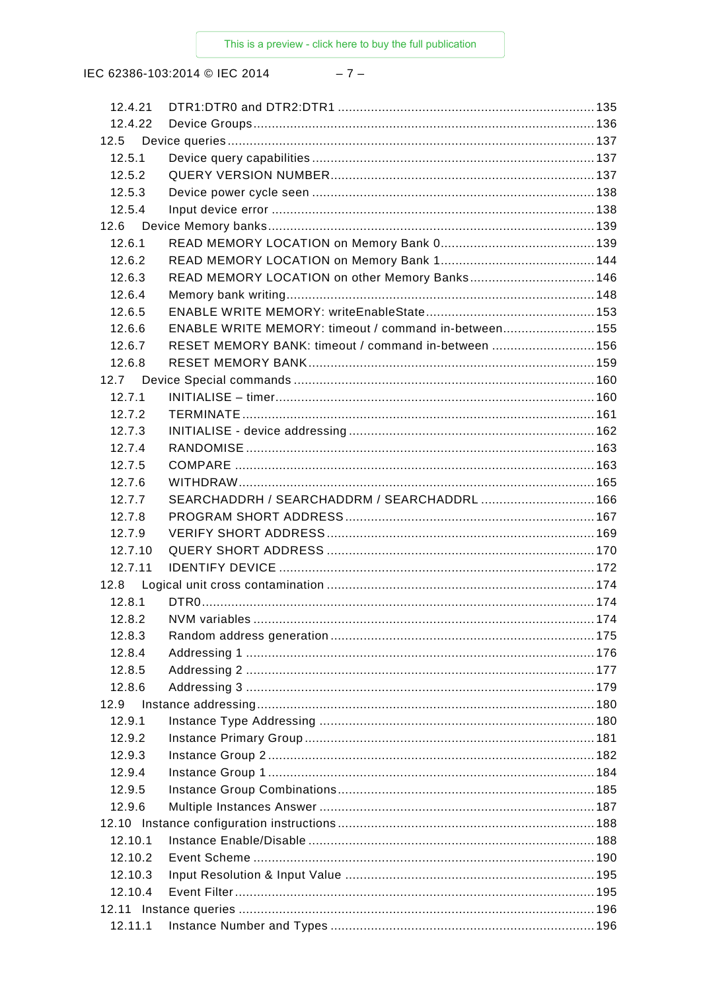IEC 62386-103:2014 © IEC 2014

# $-7-$

| 12.4.21 |                                                       |  |
|---------|-------------------------------------------------------|--|
| 12.4.22 |                                                       |  |
| 12.5    |                                                       |  |
| 12.5.1  |                                                       |  |
| 12.5.2  |                                                       |  |
| 12.5.3  |                                                       |  |
| 12.5.4  |                                                       |  |
| 12.6    |                                                       |  |
| 12.6.1  |                                                       |  |
| 12.6.2  |                                                       |  |
| 12.6.3  | READ MEMORY LOCATION on other Memory Banks 146        |  |
| 12.6.4  |                                                       |  |
| 12.6.5  |                                                       |  |
| 12.6.6  | ENABLE WRITE MEMORY: timeout / command in-between 155 |  |
| 12.6.7  | RESET MEMORY BANK: timeout / command in-between  156  |  |
| 12.6.8  |                                                       |  |
| 12.7    |                                                       |  |
| 12.7.1  |                                                       |  |
| 12.7.2  |                                                       |  |
| 12.7.3  |                                                       |  |
| 12.7.4  |                                                       |  |
| 12.7.5  |                                                       |  |
| 12.7.6  |                                                       |  |
| 12.7.7  | SEARCHADDRH / SEARCHADDRM / SEARCHADDRL  166          |  |
| 12.7.8  |                                                       |  |
| 12.7.9  |                                                       |  |
| 12.7.10 |                                                       |  |
| 12.7.11 |                                                       |  |
| 12.8    |                                                       |  |
| 12.8.1  |                                                       |  |
| 12.8.2  |                                                       |  |
| 12.8.3  |                                                       |  |
| 12.8.4  |                                                       |  |
| 12.8.5  |                                                       |  |
| 12.8.6  |                                                       |  |
| 12.9    |                                                       |  |
| 12.9.1  |                                                       |  |
| 12.9.2  |                                                       |  |
| 12.9.3  |                                                       |  |
| 12.9.4  |                                                       |  |
| 12.9.5  |                                                       |  |
| 12.9.6  |                                                       |  |
|         |                                                       |  |
| 12.10.1 |                                                       |  |
| 12.10.2 |                                                       |  |
| 12.10.3 |                                                       |  |
| 12.10.4 |                                                       |  |
|         |                                                       |  |
| 12.11.1 |                                                       |  |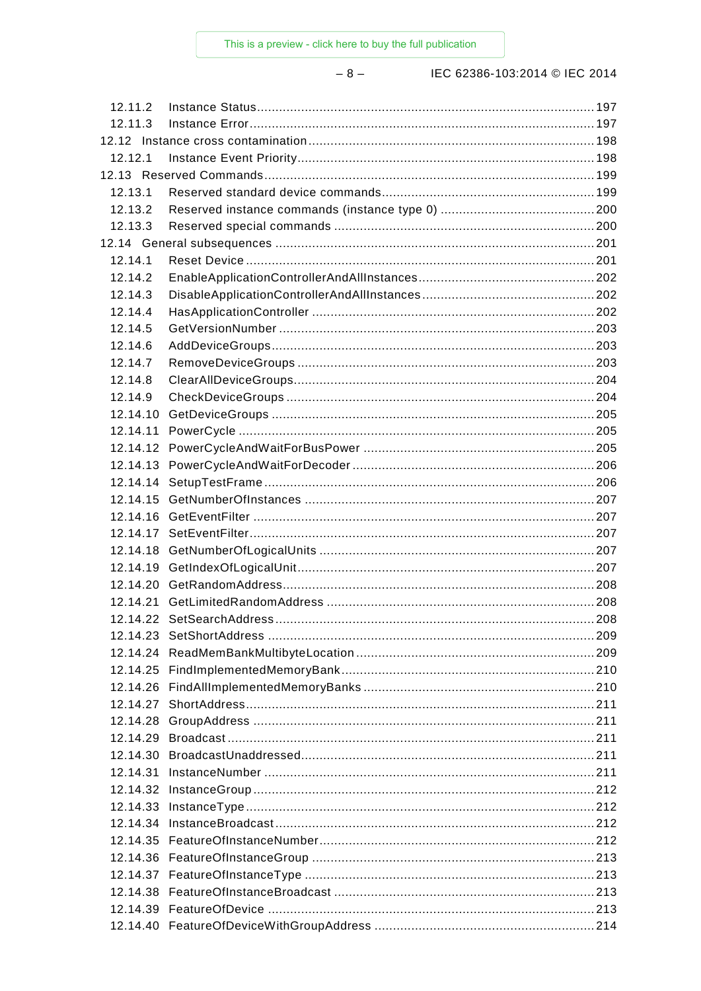$-8-$ 

# IEC 62386-103:2014 © IEC 2014

| 12.11.2 |  |
|---------|--|
| 12.11.3 |  |
|         |  |
| 12.12.1 |  |
|         |  |
| 12.13.1 |  |
| 12.13.2 |  |
| 12.13.3 |  |
|         |  |
| 12.14.1 |  |
| 12.14.2 |  |
| 12.14.3 |  |
| 12.14.4 |  |
| 12.14.5 |  |
| 12.14.6 |  |
| 12.14.7 |  |
| 12.14.8 |  |
| 12.14.9 |  |
|         |  |
|         |  |
|         |  |
|         |  |
|         |  |
|         |  |
|         |  |
|         |  |
|         |  |
|         |  |
|         |  |
|         |  |
|         |  |
|         |  |
|         |  |
|         |  |
|         |  |
|         |  |
|         |  |
|         |  |
|         |  |
|         |  |
|         |  |
|         |  |
|         |  |
|         |  |
|         |  |
|         |  |
|         |  |
|         |  |
|         |  |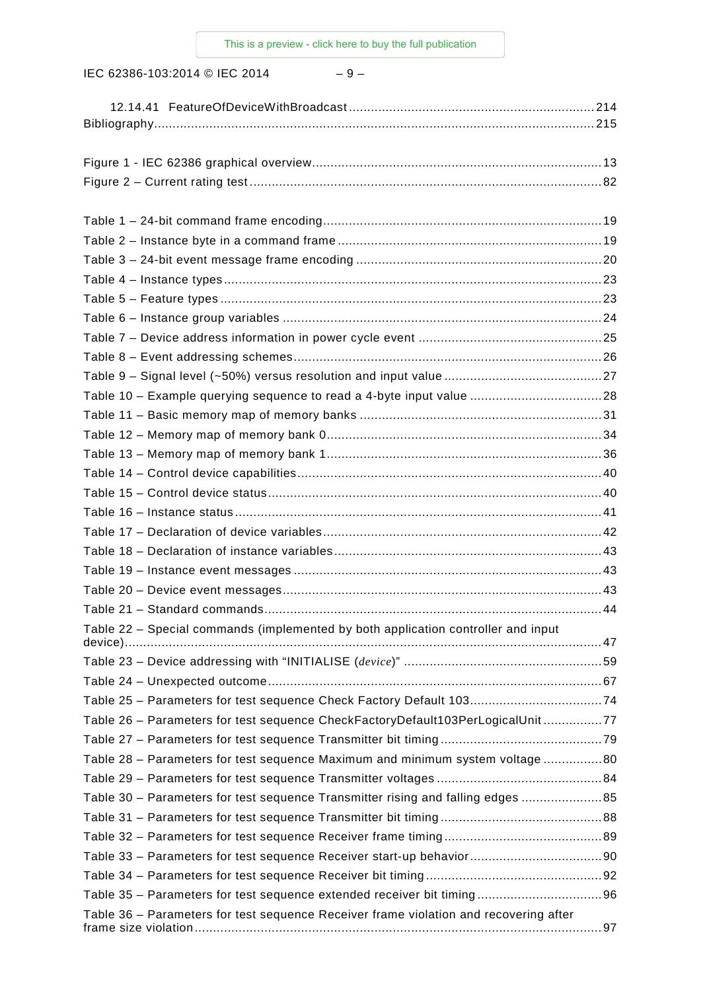IEC 62386-103:2014 © IEC 2014 – 9 –

| Table 22 - Special commands (implemented by both application controller and input     |  |
|---------------------------------------------------------------------------------------|--|
|                                                                                       |  |
|                                                                                       |  |
|                                                                                       |  |
| Table 25 - Parameters for test sequence Check Factory Default 10374                   |  |
| Table 26 - Parameters for test sequence CheckFactoryDefault103PerLogicalUnit77        |  |
|                                                                                       |  |
| Table 28 – Parameters for test sequence Maximum and minimum system voltage 80         |  |
|                                                                                       |  |
| Table 30 - Parameters for test sequence Transmitter rising and falling edges 85       |  |
|                                                                                       |  |
|                                                                                       |  |
|                                                                                       |  |
|                                                                                       |  |
|                                                                                       |  |
| Table 36 - Parameters for test sequence Receiver frame violation and recovering after |  |
|                                                                                       |  |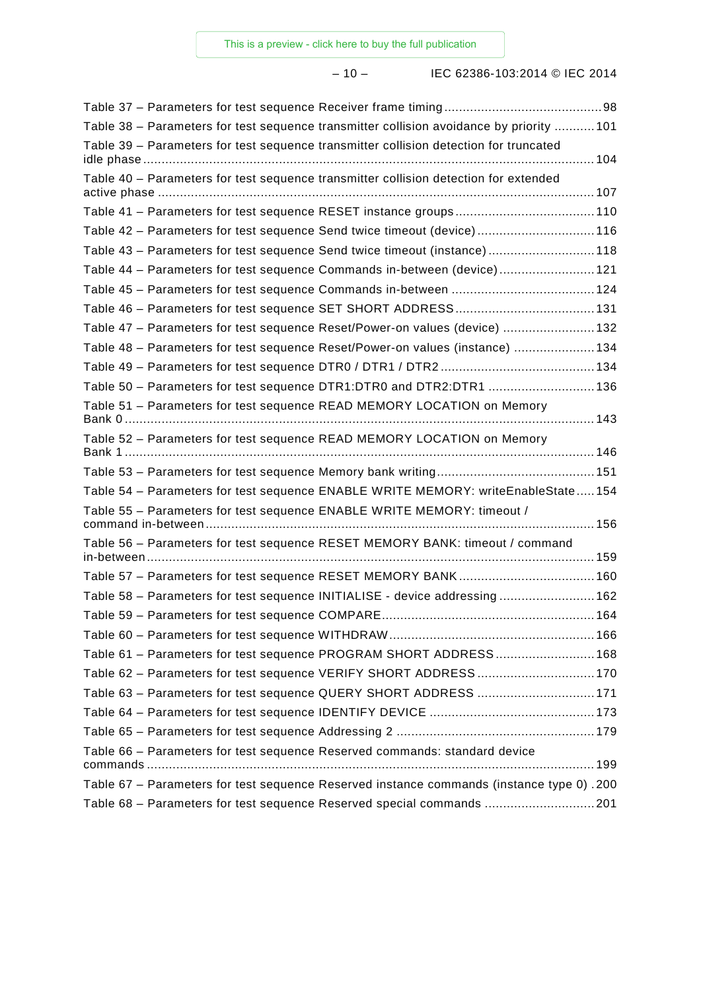– 10 – IEC 62386-103:2014 © IEC 2014

| Table 38 - Parameters for test sequence transmitter collision avoidance by priority  101  |  |
|-------------------------------------------------------------------------------------------|--|
| Table 39 - Parameters for test sequence transmitter collision detection for truncated     |  |
| Table 40 - Parameters for test sequence transmitter collision detection for extended      |  |
|                                                                                           |  |
| Table 42 - Parameters for test sequence Send twice timeout (device)116                    |  |
| Table 43 - Parameters for test sequence Send twice timeout (instance)  118                |  |
| Table 44 - Parameters for test sequence Commands in-between (device) 121                  |  |
|                                                                                           |  |
|                                                                                           |  |
| Table 47 - Parameters for test sequence Reset/Power-on values (device)  132               |  |
| Table 48 - Parameters for test sequence Reset/Power-on values (instance)  134             |  |
|                                                                                           |  |
| Table 50 - Parameters for test sequence DTR1:DTR0 and DTR2:DTR1  136                      |  |
| Table 51 - Parameters for test sequence READ MEMORY LOCATION on Memory                    |  |
| Table 52 - Parameters for test sequence READ MEMORY LOCATION on Memory                    |  |
|                                                                                           |  |
| Table 54 - Parameters for test sequence ENABLE WRITE MEMORY: writeEnableState154          |  |
| Table 55 - Parameters for test sequence ENABLE WRITE MEMORY: timeout /                    |  |
| Table 56 - Parameters for test sequence RESET MEMORY BANK: timeout / command              |  |
|                                                                                           |  |
|                                                                                           |  |
| Table 58 - Parameters for test sequence INITIALISE - device addressing  162               |  |
|                                                                                           |  |
|                                                                                           |  |
| Table 61 - Parameters for test sequence PROGRAM SHORT ADDRESS 168                         |  |
| Table 62 - Parameters for test sequence VERIFY SHORT ADDRESS  170                         |  |
| Table 63 - Parameters for test sequence QUERY SHORT ADDRESS  171                          |  |
|                                                                                           |  |
|                                                                                           |  |
| Table 66 - Parameters for test sequence Reserved commands: standard device                |  |
| Table 67 - Parameters for test sequence Reserved instance commands (instance type 0) .200 |  |
| Table 68 - Parameters for test sequence Reserved special commands 201                     |  |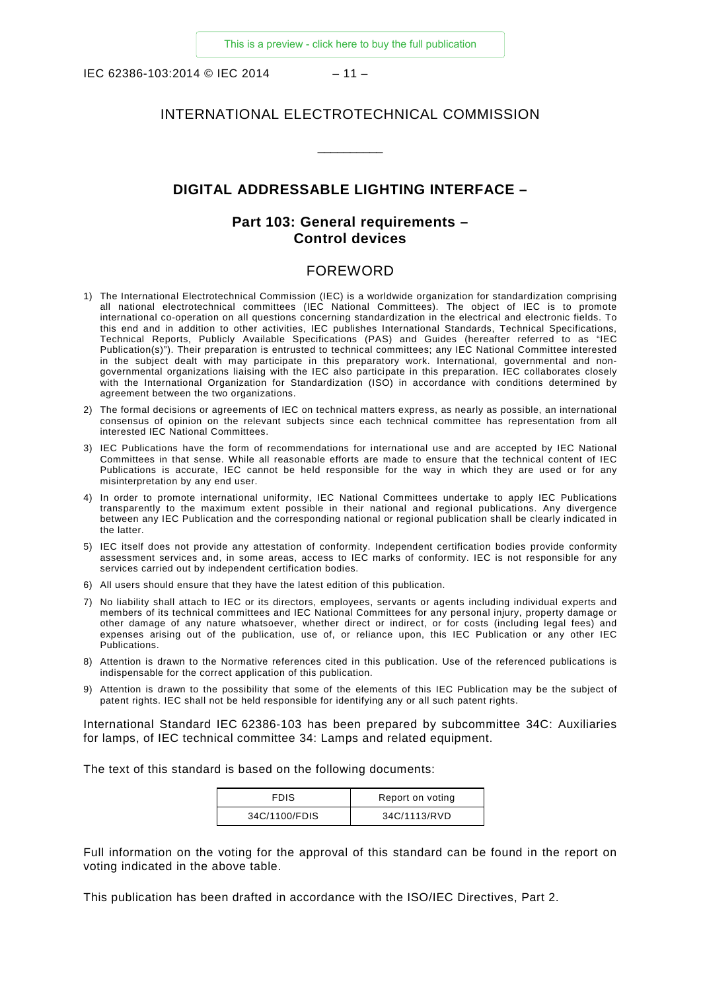IEC 62386-103:2014 © IEC 2014 – 11 –

# INTERNATIONAL ELECTROTECHNICAL COMMISSION

# **DIGITAL ADDRESSABLE LIGHTING INTERFACE –**

 $\overline{\phantom{a}}$ 

## **Part 103: General requirements – Control devices**

# FOREWORD

- <span id="page-10-0"></span>1) The International Electrotechnical Commission (IEC) is a worldwide organization for standardization comprising all national electrotechnical committees (IEC National Committees). The object of IEC is to promote international co-operation on all questions concerning standardization in the electrical and electronic fields. To this end and in addition to other activities, IEC publishes International Standards, Technical Specifications, Technical Reports, Publicly Available Specifications (PAS) and Guides (hereafter referred to as "IEC Publication(s)"). Their preparation is entrusted to technical committees; any IEC National Committee interested in the subject dealt with may participate in this preparatory work. International, governmental and nongovernmental organizations liaising with the IEC also participate in this preparation. IEC collaborates closely with the International Organization for Standardization (ISO) in accordance with conditions determined by agreement between the two organizations.
- 2) The formal decisions or agreements of IEC on technical matters express, as nearly as possible, an international consensus of opinion on the relevant subjects since each technical committee has representation from all interested IEC National Committees.
- 3) IEC Publications have the form of recommendations for international use and are accepted by IEC National Committees in that sense. While all reasonable efforts are made to ensure that the technical content of IEC Publications is accurate, IEC cannot be held responsible for the way in which they are used or for any misinterpretation by any end user.
- 4) In order to promote international uniformity, IEC National Committees undertake to apply IEC Publications transparently to the maximum extent possible in their national and regional publications. Any divergence between any IEC Publication and the corresponding national or regional publication shall be clearly indicated in the latter.
- 5) IEC itself does not provide any attestation of conformity. Independent certification bodies provide conformity assessment services and, in some areas, access to IEC marks of conformity. IEC is not responsible for any services carried out by independent certification bodies.
- 6) All users should ensure that they have the latest edition of this publication.
- 7) No liability shall attach to IEC or its directors, employees, servants or agents including individual experts and members of its technical committees and IEC National Committees for any personal injury, property damage or other damage of any nature whatsoever, whether direct or indirect, or for costs (including legal fees) and expenses arising out of the publication, use of, or reliance upon, this IEC Publication or any other IEC Publications.
- 8) Attention is drawn to the Normative references cited in this publication. Use of the referenced publications is indispensable for the correct application of this publication.
- 9) Attention is drawn to the possibility that some of the elements of this IEC Publication may be the subject of patent rights. IEC shall not be held responsible for identifying any or all such patent rights.

International Standard IEC 62386-103 has been prepared by subcommittee 34C: Auxiliaries for lamps, of IEC technical committee 34: Lamps and related equipment.

The text of this standard is based on the following documents:

| <b>FDIS</b>   | Report on voting |
|---------------|------------------|
| 34C/1100/FDIS | 34C/1113/RVD     |

Full information on the voting for the approval of this standard can be found in the report on voting indicated in the above table.

This publication has been drafted in accordance with the ISO/IEC Directives, Part 2.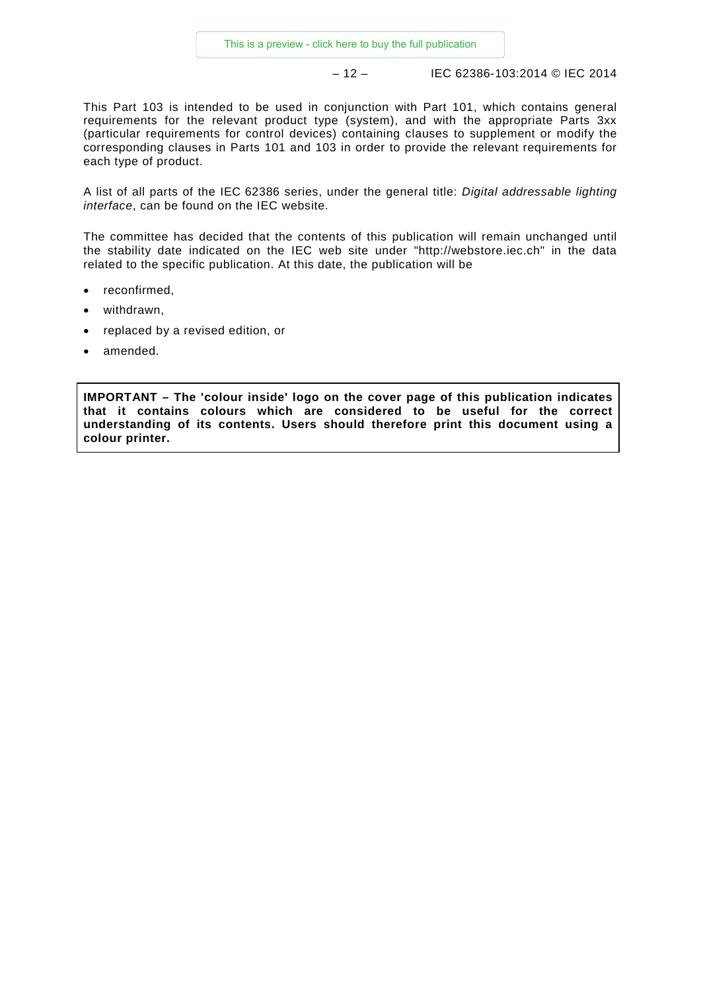– 12 – IEC 62386-103:2014 © IEC 2014

This Part 103 is intended to be used in conjunction with Part 101, which contains general requirements for the relevant product type (system), and with the appropriate Parts 3xx (particular requirements for control devices) containing clauses to supplement or modify the corresponding clauses in Parts 101 and 103 in order to provide the relevant requirements for each type of product.

A list of all parts of the IEC 62386 series, under the general title: *Digital addressable lighting interface*, can be found on the IEC website.

The committee has decided that the contents of this publication will remain unchanged until the stability date indicated on the IEC web site under "http://webstore.iec.ch" in the data related to the specific publication. At this date, the publication will be

- reconfirmed,
- withdrawn.
- replaced by a revised edition, or
- amended.

**IMPORTANT – The 'colour inside' logo on the cover page of this publication indicates that it contains colours which are considered to be useful for the correct understanding of its contents. Users should therefore print this document using a colour printer.**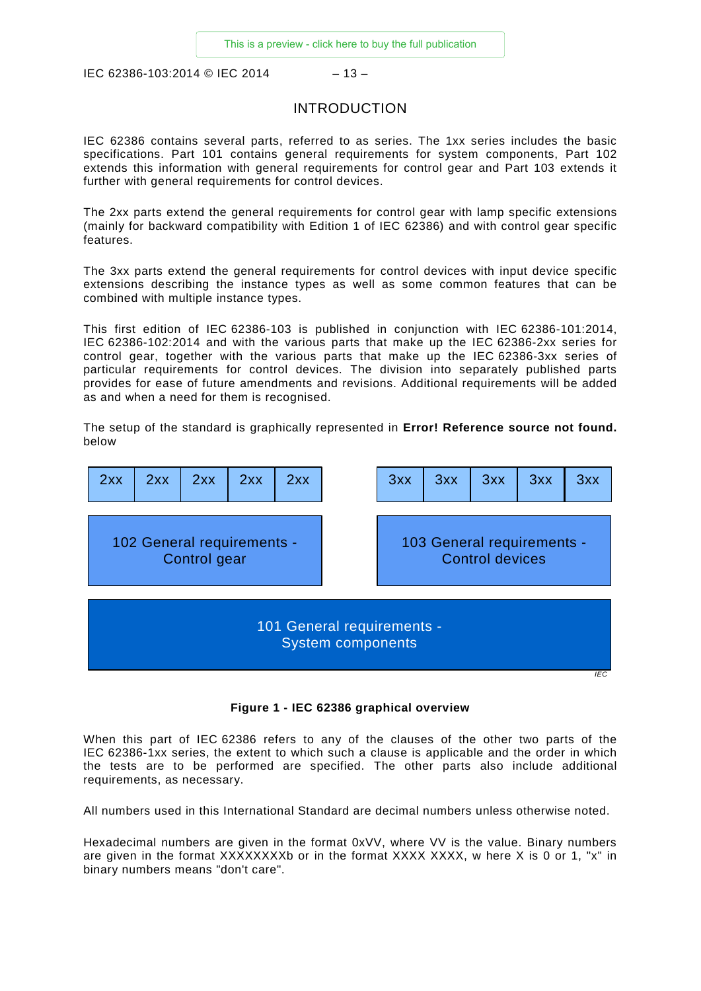<span id="page-12-0"></span>IEC 62386-103:2014 © IEC 2014  $-13-$ 

### INTRODUCTION

IEC 62386 contains several parts, referred to as series. The 1xx series includes the basic specifications. Part 101 contains general requirements for system components, Part 102 extends this information with general requirements for control gear and Part 103 extends it further with general requirements for control devices.

The 2xx parts extend the general requirements for control gear with lamp specific extensions (mainly for backward compatibility with Edition 1 of IEC 62386) and with control gear specific features.

The 3xx parts extend the general requirements for control devices with input device specific extensions describing the instance types as well as some common features that can be combined with multiple instance types.

This first edition of IEC 62386-103 is published in conjunction with IEC 62386-101:2014, IEC 62386-102:2014 and with the various parts that make up the IEC 62386-2xx series for control gear, together with the various parts that make up the IEC 62386-3xx series of particular requirements for control devices. The division into separately published parts provides for ease of future amendments and revisions. Additional requirements will be added as and when a need for them is recognised.

The setup of the standard is graphically represented in **Error! Reference source not found.** below



**Figure 1 - IEC 62386 graphical overview**

<span id="page-12-1"></span>When this part of IEC 62386 refers to any of the clauses of the other two parts of the IEC 62386-1xx series, the extent to which such a clause is applicable and the order in which the tests are to be performed are specified. The other parts also include additional requirements, as necessary.

All numbers used in this International Standard are decimal numbers unless otherwise noted.

Hexadecimal numbers are given in the format 0xVV, where VV is the value. Binary numbers are given in the format XXXXXXXXb or in the format XXXX XXXX, w here X is 0 or 1, "x" in binary numbers means "don't care".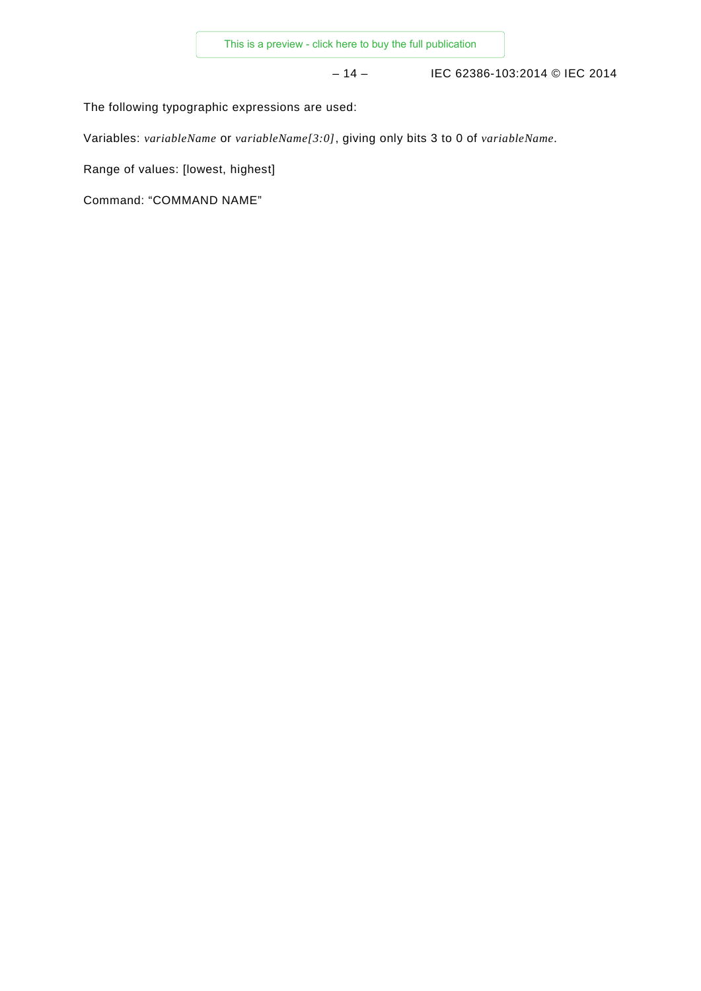– 14 – IEC 62386-103:2014 © IEC 2014

The following typographic expressions are used:

Variables: *variableName* or *variableName[3:0]*, giving only bits 3 to 0 of *variableName*.

Range of values: [lowest, highest]

Command: "COMMAND NAME"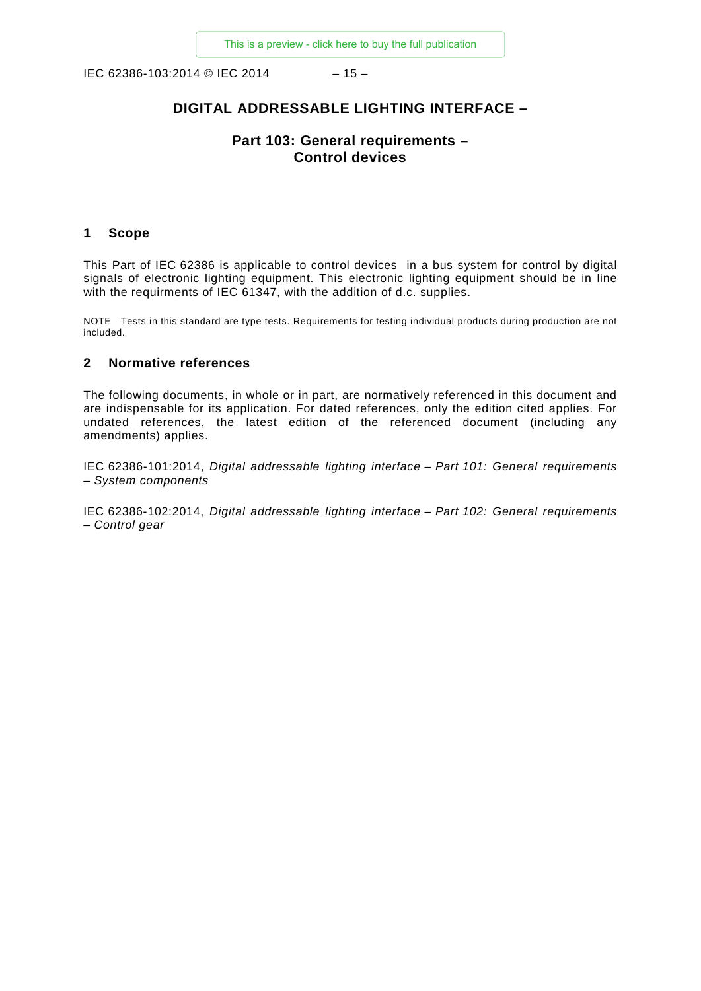IEC 62386-103:2014 © IEC 2014 – 15 –

# **DIGITAL ADDRESSABLE LIGHTING INTERFACE –**

# **Part 103: General requirements – Control devices**

#### <span id="page-14-0"></span>**1 Scope**

This Part of IEC 62386 is applicable to control devices in a bus system for control by digital signals of electronic lighting equipment. This electronic lighting equipment should be in line with the requirments of IEC 61347, with the addition of d.c. supplies.

NOTE Tests in this standard are type tests. Requirements for testing individual products during production are not included.

#### <span id="page-14-1"></span>**2 Normative references**

The following documents, in whole or in part, are normatively referenced in this document and are indispensable for its application. For dated references, only the edition cited applies. For undated references, the latest edition of the referenced document (including any amendments) applies.

IEC 62386-101:2014, *Digital addressable lighting interface – Part 101: General requirements – System components*

<span id="page-14-2"></span>IEC 62386-102:2014, *Digital addressable lighting interface – Part 102: General requirements – Control gear*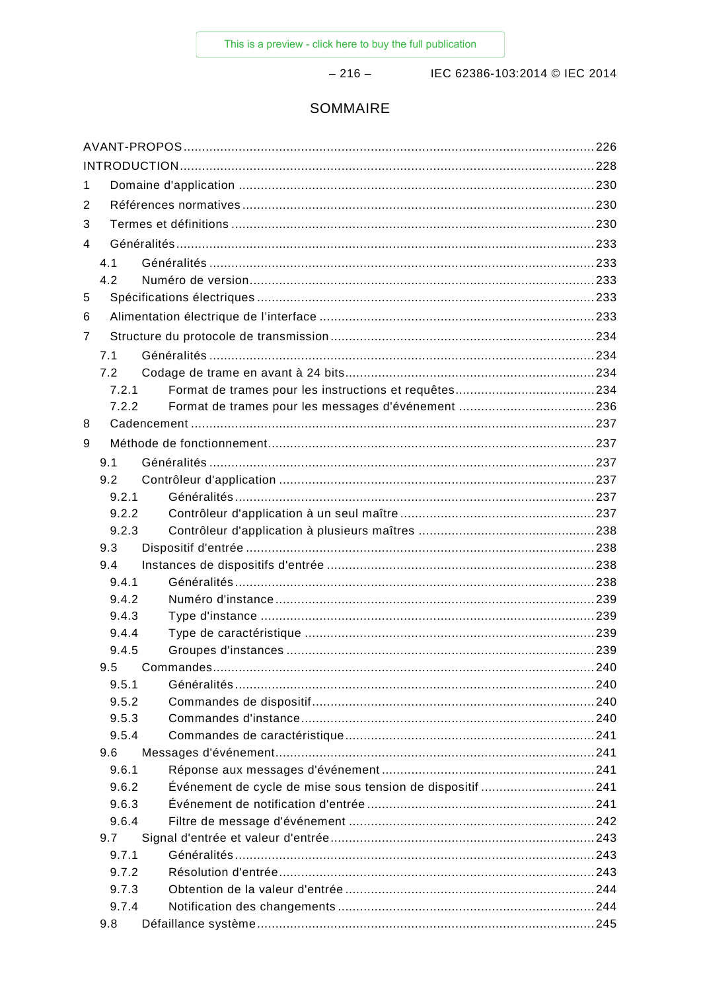$-216-$ 

IEC 62386-103:2014 © IEC 2014

# SOMMAIRE

| 1 |            |                                                           |  |
|---|------------|-----------------------------------------------------------|--|
| 2 |            |                                                           |  |
| 3 |            |                                                           |  |
| 4 |            |                                                           |  |
|   | 4.1        |                                                           |  |
|   | 4.2        |                                                           |  |
| 5 |            |                                                           |  |
| 6 |            |                                                           |  |
| 7 |            |                                                           |  |
|   | 7.1        |                                                           |  |
|   | 7.2        |                                                           |  |
|   | 7.2.1      |                                                           |  |
|   | 7.2.2      |                                                           |  |
| 8 |            |                                                           |  |
| 9 |            |                                                           |  |
|   |            |                                                           |  |
|   | 9.1<br>9.2 |                                                           |  |
|   | 9.2.1      |                                                           |  |
|   | 9.2.2      |                                                           |  |
|   | 9.2.3      |                                                           |  |
|   | 9.3        |                                                           |  |
|   | 9.4        |                                                           |  |
|   | 9.4.1      |                                                           |  |
|   | 9.4.2      |                                                           |  |
|   | 9.4.3      |                                                           |  |
|   | 9.4.4      |                                                           |  |
|   | 9.4.5      |                                                           |  |
|   |            |                                                           |  |
|   | 9.5.1      |                                                           |  |
|   | 9.5.2      |                                                           |  |
|   | 9.5.3      |                                                           |  |
|   | 9.5.4      |                                                           |  |
|   | 9.6        |                                                           |  |
|   | 9.6.1      |                                                           |  |
|   | 9.6.2      | Événement de cycle de mise sous tension de dispositif 241 |  |
|   | 9.6.3      |                                                           |  |
|   | 9.6.4      |                                                           |  |
|   | 9.7        |                                                           |  |
|   | 9.7.1      |                                                           |  |
|   | 9.7.2      |                                                           |  |
|   | 9.7.3      |                                                           |  |
|   | 9.7.4      |                                                           |  |
|   | 9.8        |                                                           |  |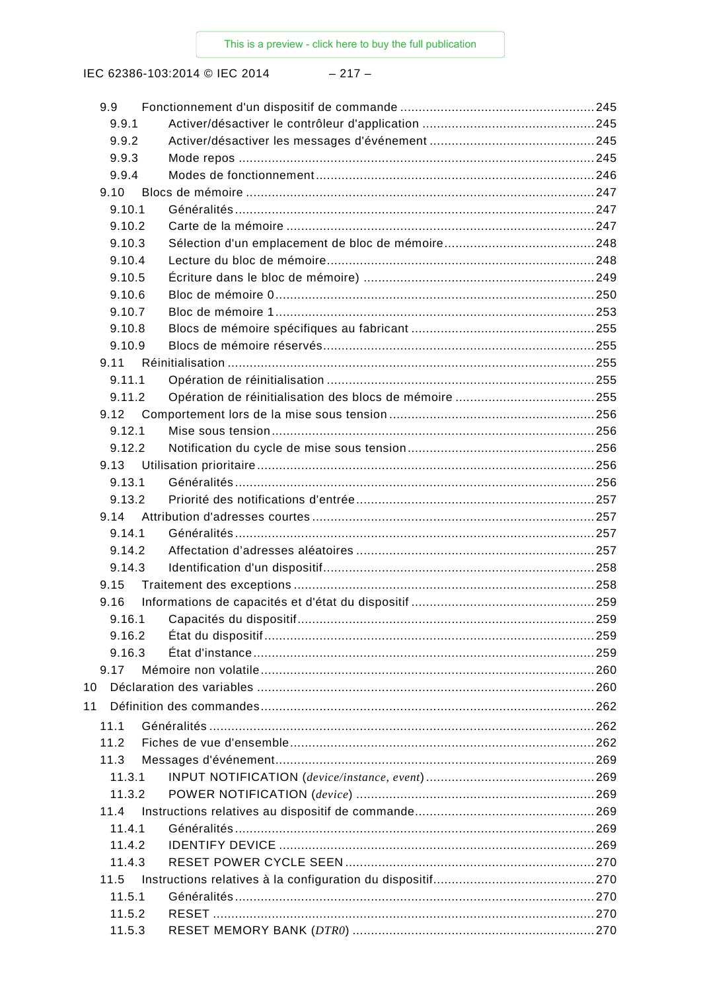IEC 62386-103:2014 © IEC 2014

| 9.9    |     |
|--------|-----|
| 9.9.1  |     |
| 9.9.2  |     |
| 9.9.3  |     |
| 9.9.4  |     |
| 9.10   |     |
| 9.10.1 |     |
| 9.10.2 |     |
| 9.10.3 |     |
| 9.10.4 |     |
| 9.10.5 |     |
| 9.10.6 |     |
| 9.10.7 |     |
| 9.10.8 |     |
| 9.10.9 |     |
| 9.11   |     |
| 9.11.1 |     |
| 9.11.2 |     |
| 9.12   |     |
| 9.12.1 |     |
| 9.12.2 |     |
| 9.13   |     |
| 9.13.1 |     |
| 9.13.2 |     |
| 9.14   |     |
| 9.14.1 |     |
| 9.14.2 |     |
| 9.14.3 |     |
| 9.15   |     |
| 9.16   |     |
|        | 259 |
| 9.16.2 |     |
| 9.16.3 |     |
| 9.17   |     |
| 10     |     |
|        |     |
| 11     |     |
| 11.1   |     |
| 11.2   |     |
| 11.3   |     |
| 11.3.1 |     |
| 11.3.2 |     |
| 11.4   |     |
| 11.4.1 |     |
| 11.4.2 |     |
| 11.4.3 |     |
| 11.5   |     |
| 11.5.1 |     |
| 11.5.2 |     |
| 11.5.3 |     |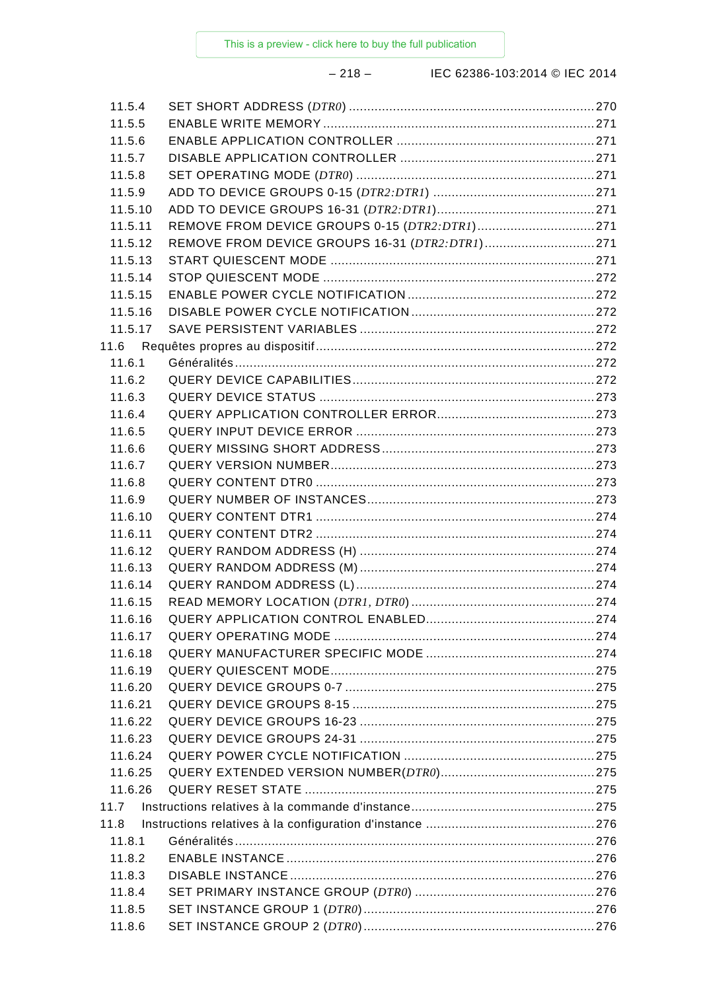– 218 – IEC 62386-103:2014 © IEC 2014

| 11.5.5<br>11.5.6<br>11.5.7<br>11.5.8<br>11.5.9<br>11.5.10<br>11.5.11<br>REMOVE FROM DEVICE GROUPS 16-31 (DTR2: DTR1)271<br>11.5.12<br>11.5.13<br>11.5.14<br>11.5.15<br>11.5.16<br>11.5.17<br>11.6.1<br>11.6.2<br>11.6.3<br>11.6.4<br>11.6.5<br>11.6.6<br>11.6.7<br>11.6.8<br>11.6.9<br>11.6.10<br>11.6.11<br>11.6.12<br>11.6.13<br>11.6.14<br>11.6.15<br>11.6.16<br>11.6.17<br>11.6.18<br>11.6.19<br>11.6.20<br>11.6.21<br>11.6.22<br>11.6.23<br>11.6.24<br>11.6.25<br>11.6.26<br>11.7<br>11.8<br>11.8.1<br>11.8.2<br>11.8.3<br>11.8.4<br>11.8.5 | 11.5.4 |  |
|--------------------------------------------------------------------------------------------------------------------------------------------------------------------------------------------------------------------------------------------------------------------------------------------------------------------------------------------------------------------------------------------------------------------------------------------------------------------------------------------------------------------------------------------------|--------|--|
|                                                                                                                                                                                                                                                                                                                                                                                                                                                                                                                                                  |        |  |
|                                                                                                                                                                                                                                                                                                                                                                                                                                                                                                                                                  |        |  |
|                                                                                                                                                                                                                                                                                                                                                                                                                                                                                                                                                  |        |  |
|                                                                                                                                                                                                                                                                                                                                                                                                                                                                                                                                                  |        |  |
|                                                                                                                                                                                                                                                                                                                                                                                                                                                                                                                                                  |        |  |
|                                                                                                                                                                                                                                                                                                                                                                                                                                                                                                                                                  |        |  |
|                                                                                                                                                                                                                                                                                                                                                                                                                                                                                                                                                  |        |  |
|                                                                                                                                                                                                                                                                                                                                                                                                                                                                                                                                                  |        |  |
|                                                                                                                                                                                                                                                                                                                                                                                                                                                                                                                                                  |        |  |
|                                                                                                                                                                                                                                                                                                                                                                                                                                                                                                                                                  |        |  |
|                                                                                                                                                                                                                                                                                                                                                                                                                                                                                                                                                  |        |  |
|                                                                                                                                                                                                                                                                                                                                                                                                                                                                                                                                                  |        |  |
|                                                                                                                                                                                                                                                                                                                                                                                                                                                                                                                                                  |        |  |
|                                                                                                                                                                                                                                                                                                                                                                                                                                                                                                                                                  |        |  |
|                                                                                                                                                                                                                                                                                                                                                                                                                                                                                                                                                  |        |  |
|                                                                                                                                                                                                                                                                                                                                                                                                                                                                                                                                                  |        |  |
|                                                                                                                                                                                                                                                                                                                                                                                                                                                                                                                                                  |        |  |
|                                                                                                                                                                                                                                                                                                                                                                                                                                                                                                                                                  |        |  |
|                                                                                                                                                                                                                                                                                                                                                                                                                                                                                                                                                  |        |  |
|                                                                                                                                                                                                                                                                                                                                                                                                                                                                                                                                                  |        |  |
|                                                                                                                                                                                                                                                                                                                                                                                                                                                                                                                                                  |        |  |
|                                                                                                                                                                                                                                                                                                                                                                                                                                                                                                                                                  |        |  |
|                                                                                                                                                                                                                                                                                                                                                                                                                                                                                                                                                  |        |  |
|                                                                                                                                                                                                                                                                                                                                                                                                                                                                                                                                                  |        |  |
|                                                                                                                                                                                                                                                                                                                                                                                                                                                                                                                                                  |        |  |
|                                                                                                                                                                                                                                                                                                                                                                                                                                                                                                                                                  |        |  |
|                                                                                                                                                                                                                                                                                                                                                                                                                                                                                                                                                  |        |  |
|                                                                                                                                                                                                                                                                                                                                                                                                                                                                                                                                                  |        |  |
|                                                                                                                                                                                                                                                                                                                                                                                                                                                                                                                                                  |        |  |
|                                                                                                                                                                                                                                                                                                                                                                                                                                                                                                                                                  |        |  |
|                                                                                                                                                                                                                                                                                                                                                                                                                                                                                                                                                  |        |  |
|                                                                                                                                                                                                                                                                                                                                                                                                                                                                                                                                                  |        |  |
|                                                                                                                                                                                                                                                                                                                                                                                                                                                                                                                                                  |        |  |
|                                                                                                                                                                                                                                                                                                                                                                                                                                                                                                                                                  |        |  |
|                                                                                                                                                                                                                                                                                                                                                                                                                                                                                                                                                  |        |  |
|                                                                                                                                                                                                                                                                                                                                                                                                                                                                                                                                                  |        |  |
|                                                                                                                                                                                                                                                                                                                                                                                                                                                                                                                                                  |        |  |
|                                                                                                                                                                                                                                                                                                                                                                                                                                                                                                                                                  |        |  |
|                                                                                                                                                                                                                                                                                                                                                                                                                                                                                                                                                  |        |  |
|                                                                                                                                                                                                                                                                                                                                                                                                                                                                                                                                                  |        |  |
|                                                                                                                                                                                                                                                                                                                                                                                                                                                                                                                                                  |        |  |
|                                                                                                                                                                                                                                                                                                                                                                                                                                                                                                                                                  |        |  |
|                                                                                                                                                                                                                                                                                                                                                                                                                                                                                                                                                  |        |  |
|                                                                                                                                                                                                                                                                                                                                                                                                                                                                                                                                                  |        |  |
|                                                                                                                                                                                                                                                                                                                                                                                                                                                                                                                                                  |        |  |
|                                                                                                                                                                                                                                                                                                                                                                                                                                                                                                                                                  |        |  |
|                                                                                                                                                                                                                                                                                                                                                                                                                                                                                                                                                  | 11.8.6 |  |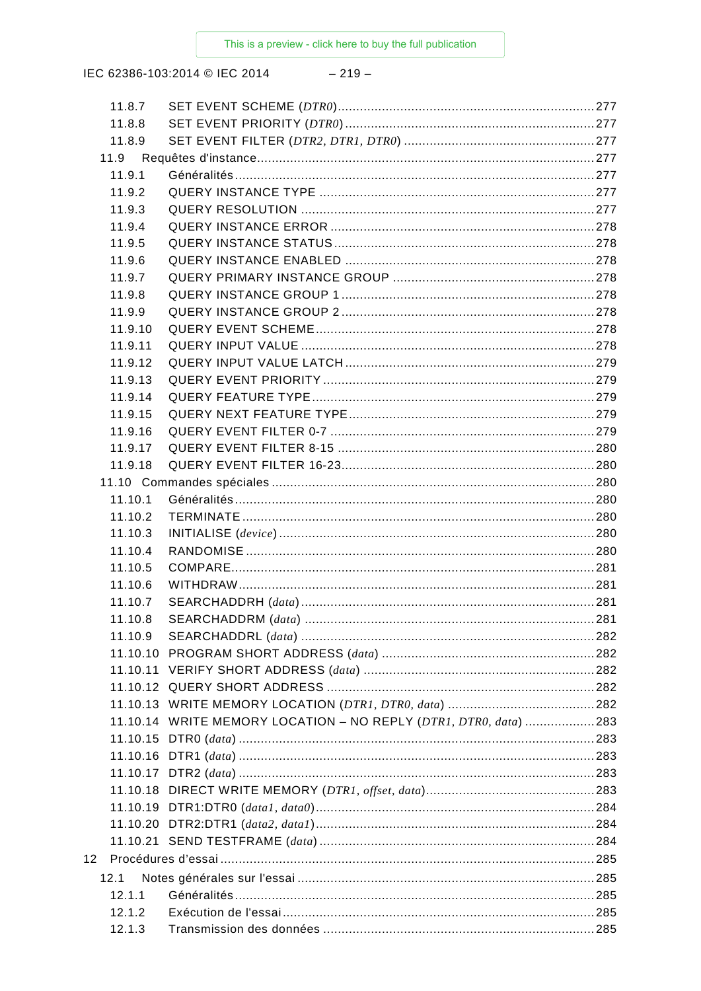IEC 62386-103:2014 © IEC 2014

### $-219-$

|                 | 11.8.7   |                                                                  |  |
|-----------------|----------|------------------------------------------------------------------|--|
|                 | 11.8.8   |                                                                  |  |
|                 | 11.8.9   |                                                                  |  |
|                 |          |                                                                  |  |
|                 | 11.9.1   |                                                                  |  |
|                 | 11.9.2   |                                                                  |  |
|                 | 11.9.3   |                                                                  |  |
|                 | 11.9.4   |                                                                  |  |
|                 | 11.9.5   |                                                                  |  |
|                 | 11.9.6   |                                                                  |  |
|                 | 11.9.7   |                                                                  |  |
|                 | 11.9.8   |                                                                  |  |
|                 | 11.9.9   |                                                                  |  |
|                 | 11.9.10  |                                                                  |  |
|                 | 11.9.11  |                                                                  |  |
|                 | 11.9.12  |                                                                  |  |
|                 | 11.9.13  |                                                                  |  |
|                 | 11.9.14  |                                                                  |  |
|                 | 11.9.15  |                                                                  |  |
|                 | 11.9.16  |                                                                  |  |
|                 | 11.9.17  |                                                                  |  |
|                 | 11.9.18  |                                                                  |  |
|                 |          |                                                                  |  |
|                 | 11.10.1  |                                                                  |  |
|                 | 11.10.2  |                                                                  |  |
|                 | 11.10.3  |                                                                  |  |
|                 | 11.10.4  |                                                                  |  |
|                 | 11.10.5  |                                                                  |  |
|                 | 11.10.6  |                                                                  |  |
|                 | 11.10.7  |                                                                  |  |
|                 | 11.10.8  |                                                                  |  |
|                 |          |                                                                  |  |
|                 |          |                                                                  |  |
|                 | 11.10.11 |                                                                  |  |
|                 |          |                                                                  |  |
|                 |          |                                                                  |  |
|                 |          | 11.10.14 WRITE MEMORY LOCATION - NO REPLY (DTR1, DTR0, data) 283 |  |
|                 |          |                                                                  |  |
|                 |          |                                                                  |  |
|                 |          |                                                                  |  |
|                 |          |                                                                  |  |
|                 |          |                                                                  |  |
|                 |          |                                                                  |  |
|                 |          |                                                                  |  |
| 12 <sup>°</sup> |          |                                                                  |  |
|                 | 12.1     |                                                                  |  |
|                 | 12.1.1   |                                                                  |  |
|                 | 12.1.2   |                                                                  |  |
|                 |          |                                                                  |  |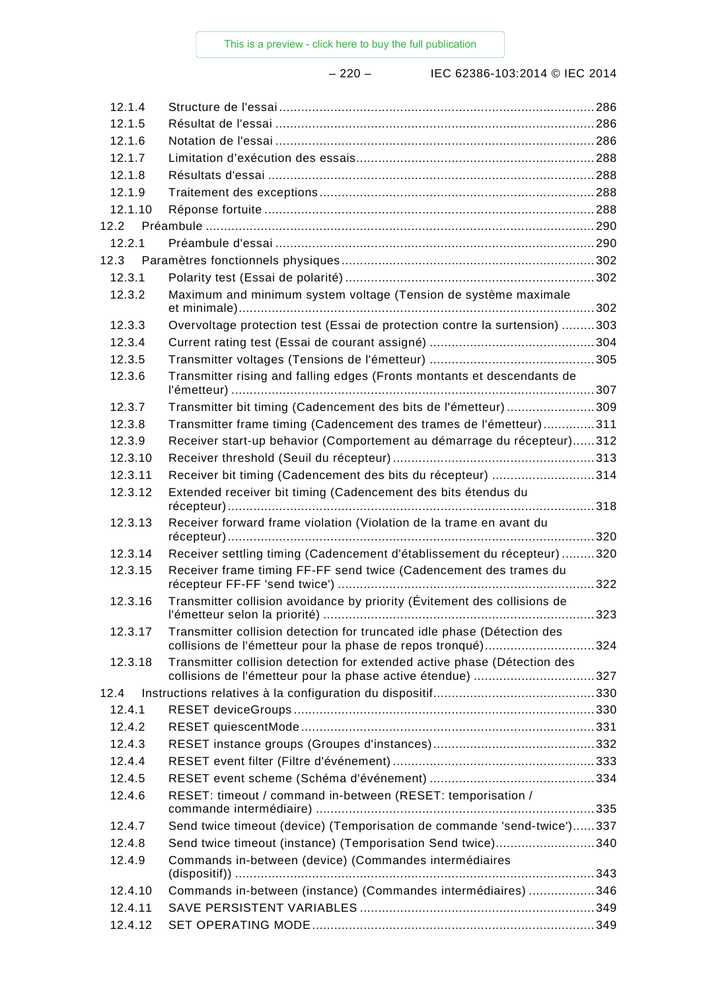– 220 – IEC 62386-103:2014 © IEC 2014

| 12.1.4  |                                                                                                                                        |  |
|---------|----------------------------------------------------------------------------------------------------------------------------------------|--|
| 12.1.5  |                                                                                                                                        |  |
| 12.1.6  |                                                                                                                                        |  |
| 12.1.7  |                                                                                                                                        |  |
| 12.1.8  |                                                                                                                                        |  |
| 12.1.9  |                                                                                                                                        |  |
| 12.1.10 |                                                                                                                                        |  |
|         |                                                                                                                                        |  |
| 12.2.1  |                                                                                                                                        |  |
|         |                                                                                                                                        |  |
| 12.3.1  |                                                                                                                                        |  |
| 12.3.2  | Maximum and minimum system voltage (Tension de système maximale                                                                        |  |
| 12.3.3  | Overvoltage protection test (Essai de protection contre la surtension) 303                                                             |  |
| 12.3.4  |                                                                                                                                        |  |
| 12.3.5  |                                                                                                                                        |  |
| 12.3.6  | Transmitter rising and falling edges (Fronts montants et descendants de                                                                |  |
| 12.3.7  | Transmitter bit timing (Cadencement des bits de l'émetteur) 309                                                                        |  |
| 12.3.8  | Transmitter frame timing (Cadencement des trames de l'émetteur)311                                                                     |  |
| 12.3.9  | Receiver start-up behavior (Comportement au démarrage du récepteur)312                                                                 |  |
| 12.3.10 |                                                                                                                                        |  |
| 12.3.11 | Receiver bit timing (Cadencement des bits du récepteur) 314                                                                            |  |
| 12.3.12 | Extended receiver bit timing (Cadencement des bits étendus du                                                                          |  |
| 12.3.13 | Receiver forward frame violation (Violation de la trame en avant du                                                                    |  |
| 12.3.14 | Receiver settling timing (Cadencement d'établissement du récepteur) 320                                                                |  |
| 12.3.15 | Receiver frame timing FF-FF send twice (Cadencement des trames du                                                                      |  |
| 12.3.16 | Transmitter collision avoidance by priority (Évitement des collisions de                                                               |  |
| 12.3.17 | Transmitter collision detection for truncated idle phase (Détection des<br>collisions de l'émetteur pour la phase de repos tronqué)324 |  |
| 12.3.18 | Transmitter collision detection for extended active phase (Détection des<br>collisions de l'émetteur pour la phase active étendue) 327 |  |
| 12.4    |                                                                                                                                        |  |
| 12.4.1  |                                                                                                                                        |  |
| 12.4.2  |                                                                                                                                        |  |
| 12.4.3  |                                                                                                                                        |  |
| 12.4.4  |                                                                                                                                        |  |
| 12.4.5  |                                                                                                                                        |  |
| 12.4.6  | RESET: timeout / command in-between (RESET: temporisation /                                                                            |  |
| 12.4.7  | Send twice timeout (device) (Temporisation de commande 'send-twice')337                                                                |  |
| 12.4.8  | Send twice timeout (instance) (Temporisation Send twice)340                                                                            |  |
| 12.4.9  | Commands in-between (device) (Commandes intermédiaires                                                                                 |  |
|         |                                                                                                                                        |  |
| 12.4.10 | Commands in-between (instance) (Commandes intermédiaires) 346                                                                          |  |
| 12.4.11 |                                                                                                                                        |  |
| 12.4.12 |                                                                                                                                        |  |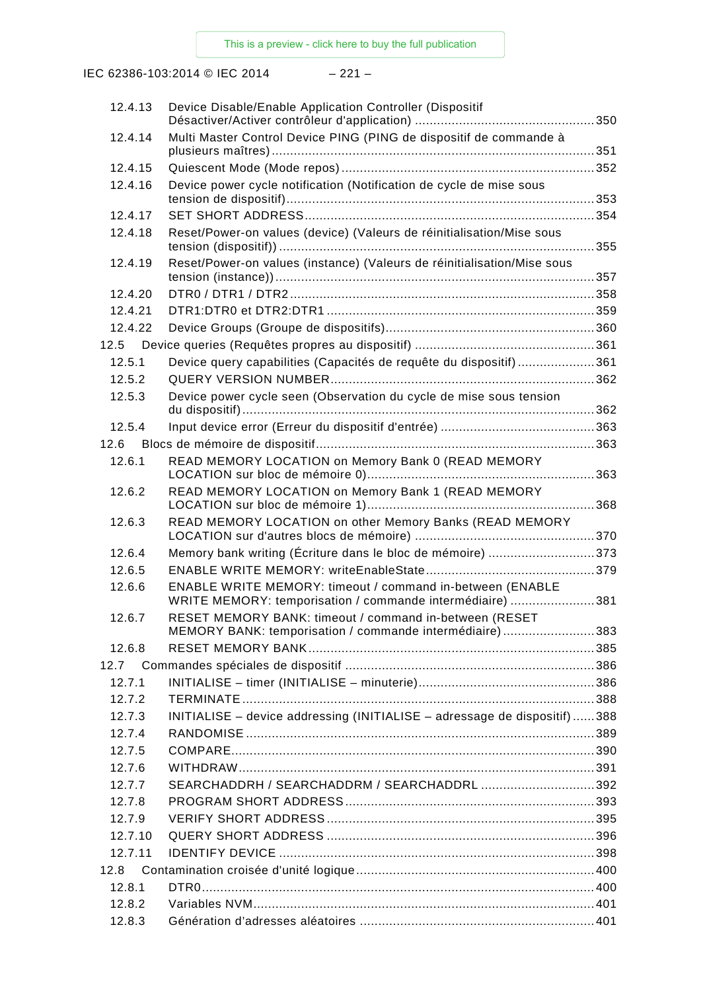IEC 62386-103:2014 © IEC 2014 – 221 –

| 12.4.13 | Device Disable/Enable Application Controller (Dispositif                                                                      |  |
|---------|-------------------------------------------------------------------------------------------------------------------------------|--|
| 12.4.14 | Multi Master Control Device PING (PING de dispositif de commande à                                                            |  |
| 12.4.15 |                                                                                                                               |  |
| 12.4.16 | Device power cycle notification (Notification de cycle de mise sous                                                           |  |
| 12.4.17 |                                                                                                                               |  |
| 12.4.18 | Reset/Power-on values (device) (Valeurs de réinitialisation/Mise sous                                                         |  |
| 12.4.19 | Reset/Power-on values (instance) (Valeurs de réinitialisation/Mise sous                                                       |  |
| 12.4.20 |                                                                                                                               |  |
| 12.4.21 |                                                                                                                               |  |
| 12.4.22 |                                                                                                                               |  |
| 12.5    |                                                                                                                               |  |
| 12.5.1  | Device query capabilities (Capacités de requête du dispositif) 361                                                            |  |
| 12.5.2  |                                                                                                                               |  |
| 12.5.3  | Device power cycle seen (Observation du cycle de mise sous tension                                                            |  |
| 12.5.4  |                                                                                                                               |  |
| 12.6    |                                                                                                                               |  |
| 12.6.1  | READ MEMORY LOCATION on Memory Bank 0 (READ MEMORY                                                                            |  |
| 12.6.2  | READ MEMORY LOCATION on Memory Bank 1 (READ MEMORY                                                                            |  |
| 12.6.3  | READ MEMORY LOCATION on other Memory Banks (READ MEMORY                                                                       |  |
| 12.6.4  | Memory bank writing (Écriture dans le bloc de mémoire) 373                                                                    |  |
| 12.6.5  |                                                                                                                               |  |
| 12.6.6  | <b>ENABLE WRITE MEMORY: timeout / command in-between (ENABLE</b><br>WRITE MEMORY: temporisation / commande intermédiaire) 381 |  |
| 12.6.7  | RESET MEMORY BANK: timeout / command in-between (RESET<br>MEMORY BANK: temporisation / commande intermédiaire)383             |  |
| 12.6.8  |                                                                                                                               |  |
| 12.7    |                                                                                                                               |  |
| 12.7.1  |                                                                                                                               |  |
| 12.7.2  |                                                                                                                               |  |
| 12.7.3  | INITIALISE - device addressing (INITIALISE - adressage de dispositif)388                                                      |  |
| 12.7.4  |                                                                                                                               |  |
| 12.7.5  |                                                                                                                               |  |
| 12.7.6  |                                                                                                                               |  |
| 12.7.7  | SEARCHADDRH / SEARCHADDRM / SEARCHADDRL 392                                                                                   |  |
| 12.7.8  |                                                                                                                               |  |
| 12.7.9  |                                                                                                                               |  |
| 12.7.10 |                                                                                                                               |  |
| 12.7.11 |                                                                                                                               |  |
| 12.8    |                                                                                                                               |  |
| 12.8.1  |                                                                                                                               |  |
| 12.8.2  |                                                                                                                               |  |
| 12.8.3  |                                                                                                                               |  |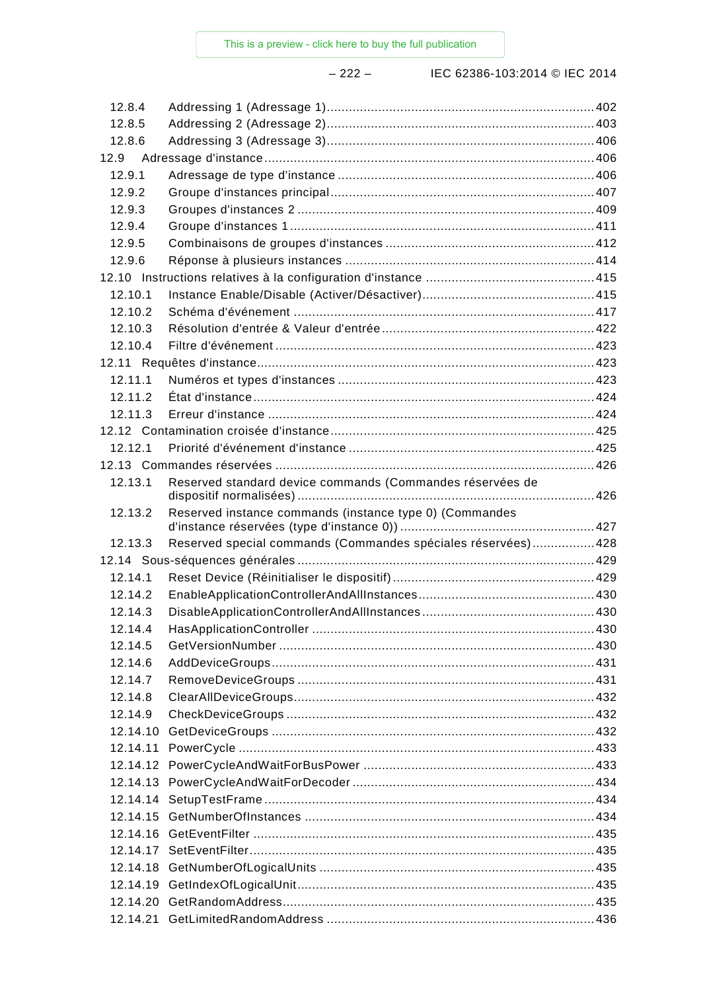– 222 – IEC 62386-103:2014 © IEC 2014

| 12.8.4  |                                                              |  |
|---------|--------------------------------------------------------------|--|
| 12.8.5  |                                                              |  |
| 12.8.6  |                                                              |  |
| 12.9    |                                                              |  |
| 12.9.1  |                                                              |  |
| 12.9.2  |                                                              |  |
| 12.9.3  |                                                              |  |
| 12.9.4  |                                                              |  |
| 12.9.5  |                                                              |  |
| 12.9.6  |                                                              |  |
|         |                                                              |  |
| 12.10.1 |                                                              |  |
| 12.10.2 |                                                              |  |
| 12.10.3 |                                                              |  |
| 12.10.4 |                                                              |  |
|         |                                                              |  |
| 12.11.1 |                                                              |  |
| 12112   |                                                              |  |
| 12.11.3 |                                                              |  |
|         |                                                              |  |
| 12.12.1 |                                                              |  |
|         |                                                              |  |
| 12.13.1 | Reserved standard device commands (Commandes réservées de    |  |
|         |                                                              |  |
| 12.13.2 | Reserved instance commands (instance type 0) (Commandes      |  |
| 12.13.3 | Reserved special commands (Commandes spéciales réservées)428 |  |
|         |                                                              |  |
| 12.14.1 |                                                              |  |
| 12.14.2 |                                                              |  |
| 12.14.3 |                                                              |  |
| 12.14.4 |                                                              |  |
| 12.14.5 |                                                              |  |
| 12.14.6 |                                                              |  |
| 12.14.7 |                                                              |  |
| 12.14.8 |                                                              |  |
| 12.14.9 |                                                              |  |
|         |                                                              |  |
|         |                                                              |  |
|         |                                                              |  |
|         |                                                              |  |
|         |                                                              |  |
|         |                                                              |  |
|         |                                                              |  |
|         |                                                              |  |
|         |                                                              |  |
|         |                                                              |  |
|         |                                                              |  |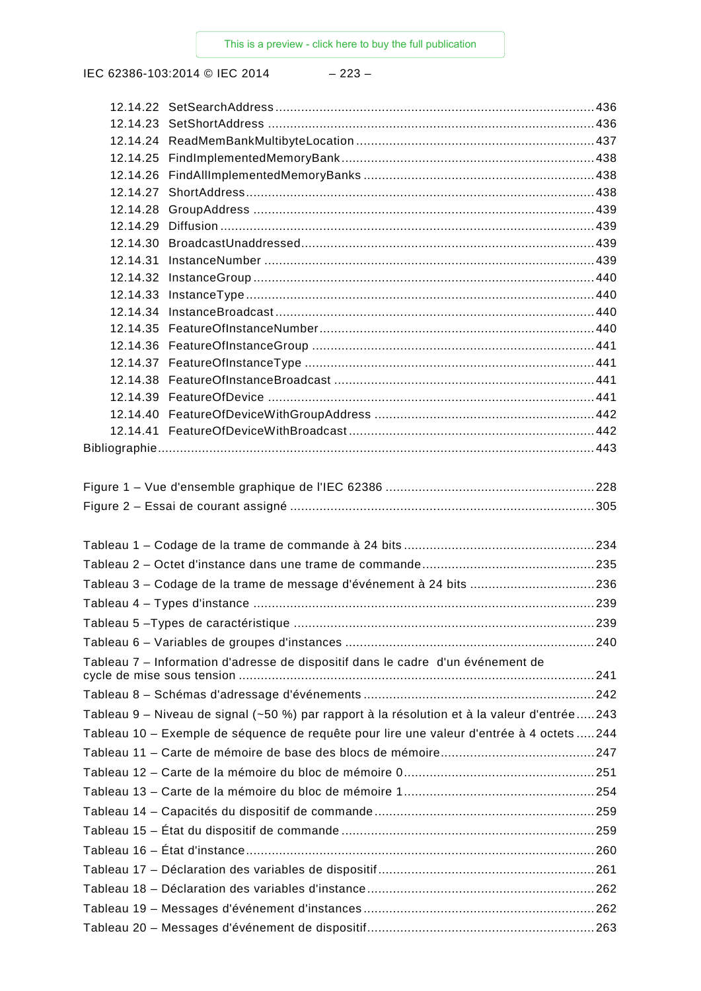IEC 62386-103:2014 © IEC 2014 – 223 –

| Tableau 3 – Codage de la trame de message d'événement à 24 bits 236                           |     |
|-----------------------------------------------------------------------------------------------|-----|
|                                                                                               |     |
|                                                                                               | 239 |
|                                                                                               |     |
| Tableau 7 – Information d'adresse de dispositif dans le cadre d'un événement de               |     |
|                                                                                               |     |
|                                                                                               |     |
| Tableau 9 - Niveau de signal (~50 %) par rapport à la résolution et à la valeur d'entrée  243 |     |
| Tableau 10 – Exemple de séquence de requête pour lire une valeur d'entrée à 4 octets  244     |     |
|                                                                                               |     |
|                                                                                               |     |
|                                                                                               |     |
|                                                                                               |     |
|                                                                                               |     |
|                                                                                               |     |
|                                                                                               |     |
|                                                                                               |     |
|                                                                                               |     |
|                                                                                               |     |
|                                                                                               |     |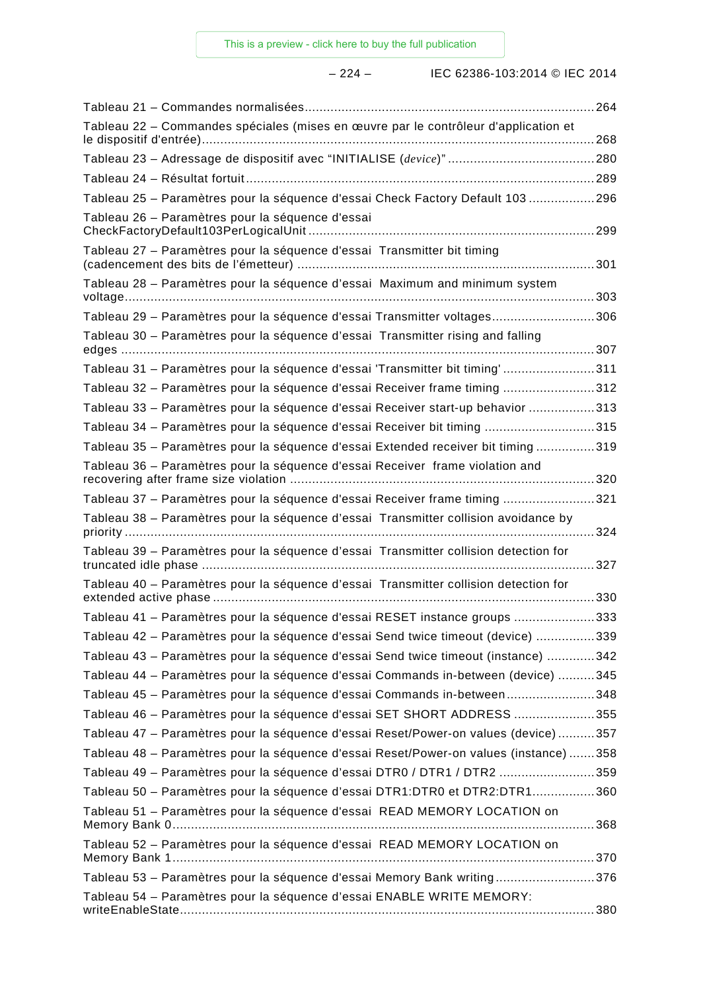– 224 – IEC 62386-103:2014 © IEC 2014

| Tableau 22 - Commandes spéciales (mises en œuvre par le contrôleur d'application et  |      |
|--------------------------------------------------------------------------------------|------|
|                                                                                      |      |
|                                                                                      |      |
| Tableau 25 - Paramètres pour la séquence d'essai Check Factory Default 103 296       |      |
| Tableau 26 - Paramètres pour la séquence d'essai                                     |      |
| Tableau 27 - Paramètres pour la séquence d'essai Transmitter bit timing              |      |
| Tableau 28 - Paramètres pour la séquence d'essai Maximum and minimum system          |      |
| Tableau 29 - Paramètres pour la séquence d'essai Transmitter voltages306             |      |
| Tableau 30 - Paramètres pour la séquence d'essai Transmitter rising and falling      |      |
| Tableau 31 - Paramètres pour la séquence d'essai 'Transmitter bit timing'311         |      |
| Tableau 32 – Paramètres pour la séquence d'essai Receiver frame timing 312           |      |
| Tableau 33 – Paramètres pour la séquence d'essai Receiver start-up behavior 313      |      |
| Tableau 34 - Paramètres pour la séquence d'essai Receiver bit timing 315             |      |
| Tableau 35 - Paramètres pour la séquence d'essai Extended receiver bit timing 319    |      |
| Tableau 36 - Paramètres pour la séquence d'essai Receiver frame violation and        |      |
| Tableau 37 - Paramètres pour la séquence d'essai Receiver frame timing 321           |      |
| Tableau 38 – Paramètres pour la séquence d'essai Transmitter collision avoidance by  |      |
| Tableau 39 - Paramètres pour la séquence d'essai Transmitter collision detection for | .327 |
| Tableau 40 - Paramètres pour la séquence d'essai Transmitter collision detection for |      |
|                                                                                      |      |
| Tableau 41 - Paramètres pour la séquence d'essai RESET instance groups 333           |      |
| Tableau 42 – Paramètres pour la séquence d'essai Send twice timeout (device) 339     |      |
| Tableau 43 – Paramètres pour la séquence d'essai Send twice timeout (instance) 342   |      |
| Tableau 44 – Paramètres pour la séquence d'essai Commands in-between (device) 345    |      |
| Tableau 45 - Paramètres pour la séquence d'essai Commands in-between348              |      |
| Tableau 46 - Paramètres pour la séquence d'essai SET SHORT ADDRESS 355               |      |
| Tableau 47 – Paramètres pour la séquence d'essai Reset/Power-on values (device)357   |      |
| Tableau 48 – Paramètres pour la séquence d'essai Reset/Power-on values (instance)358 |      |
| Tableau 49 - Paramètres pour la séquence d'essai DTR0 / DTR1 / DTR2 359              |      |
| Tableau 50 - Paramètres pour la séquence d'essai DTR1:DTR0 et DTR2:DTR1360           |      |
| Tableau 51 - Paramètres pour la séquence d'essai READ MEMORY LOCATION on             |      |
| Tableau 52 - Paramètres pour la séquence d'essai READ MEMORY LOCATION on             |      |
| Tableau 53 - Paramètres pour la séquence d'essai Memory Bank writing376              |      |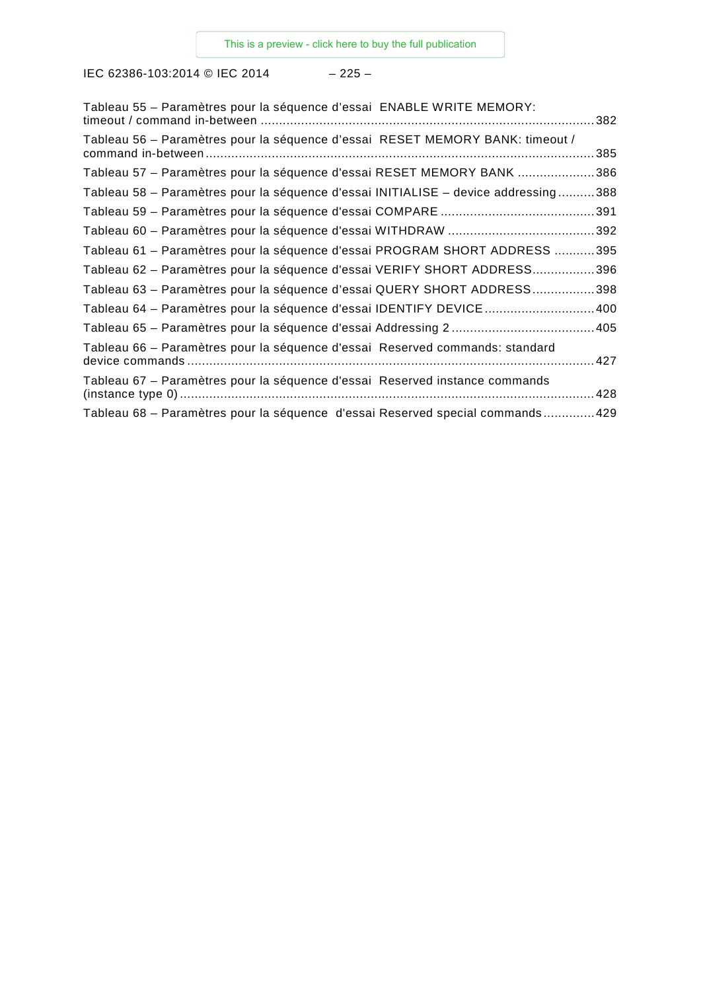IEC 62386-103:2014 © IEC 2014 – 225 –

| Tableau 55 - Paramètres pour la séquence d'essai ENABLE WRITE MEMORY:              | 382 |
|------------------------------------------------------------------------------------|-----|
| Tableau 56 - Paramètres pour la séquence d'essai RESET MEMORY BANK: timeout /      | 385 |
| Tableau 57 - Paramètres pour la séquence d'essai RESET MEMORY BANK 386             |     |
| Tableau 58 - Paramètres pour la séquence d'essai INITIALISE - device addressing388 |     |
|                                                                                    | 391 |
|                                                                                    | 392 |
| Tableau 61 – Paramètres pour la séquence d'essai PROGRAM SHORT ADDRESS             | 395 |
| Tableau 62 - Paramètres pour la séquence d'essai VERIFY SHORT ADDRESS              | 396 |
| Tableau 63 - Paramètres pour la séquence d'essai QUERY SHORT ADDRESS               | 398 |
| Tableau 64 - Paramètres pour la séquence d'essai IDENTIFY DEVICE                   | 400 |
|                                                                                    | 405 |
| Tableau 66 - Paramètres pour la séquence d'essai Reserved commands: standard       | 427 |
| Tableau 67 - Paramètres pour la séquence d'essai Reserved instance commands        | 428 |
| Tableau 68 – Paramètres pour la séquence d'essai Reserved special commands429      |     |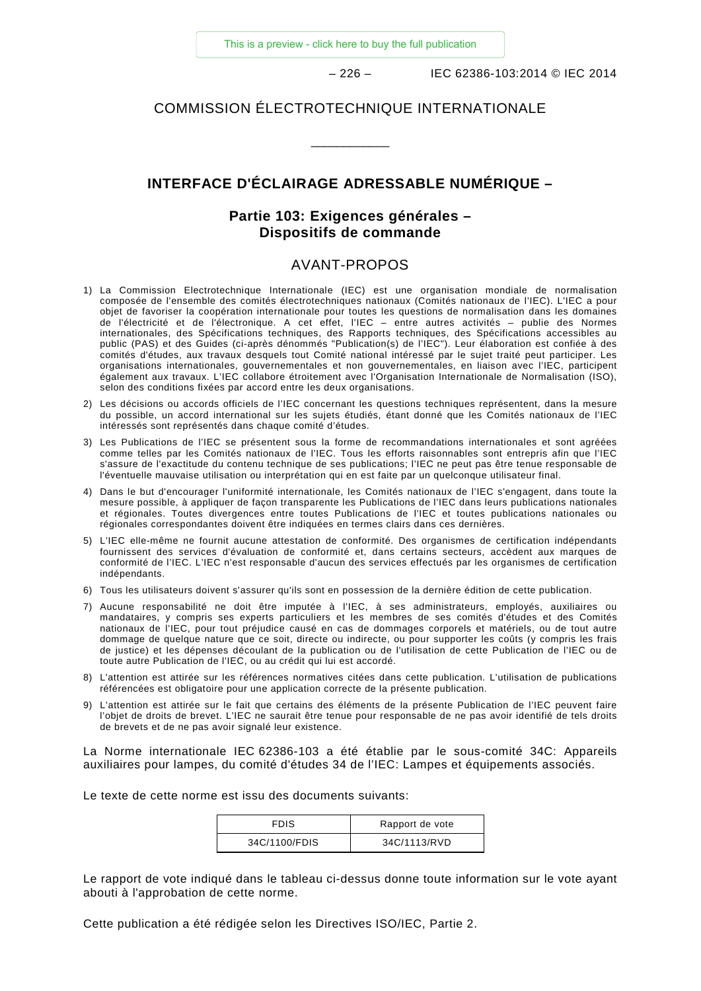[This is a preview - click here to buy the full publication](https://webstore.iec.ch/publication/6956&preview=1)

– 226 – IEC 62386-103:2014 © IEC 2014

# COMMISSION ÉLECTROTECHNIQUE INTERNATIONALE

\_\_\_\_\_\_\_\_\_\_\_\_

#### **INTERFACE D'ÉCLAIRAGE ADRESSABLE NUMÉRIQUE –**

# **Partie 103: Exigences générales – Dispositifs de commande**

#### AVANT-PROPOS

- <span id="page-25-0"></span>1) La Commission Electrotechnique Internationale (IEC) est une organisation mondiale de normalisation composée de l'ensemble des comités électrotechniques nationaux (Comités nationaux de l'IEC). L'IEC a pour objet de favoriser la coopération internationale pour toutes les questions de normalisation dans les domaines de l'électricité et de l'électronique. A cet effet, l'IEC – entre autres activités – publie des Normes internationales, des Spécifications techniques, des Rapports techniques, des Spécifications accessibles au public (PAS) et des Guides (ci-après dénommés "Publication(s) de l'IEC"). Leur élaboration est confiée à des comités d'études, aux travaux desquels tout Comité national intéressé par le sujet traité peut participer. Les organisations internationales, gouvernementales et non gouvernementales, en liaison avec l'IEC, participent également aux travaux. L'IEC collabore étroitement avec l'Organisation Internationale de Normalisation (ISO), selon des conditions fixées par accord entre les deux organisations.
- 2) Les décisions ou accords officiels de l'IEC concernant les questions techniques représentent, dans la mesure du possible, un accord international sur les sujets étudiés, étant donné que les Comités nationaux de l'IEC intéressés sont représentés dans chaque comité d'études.
- 3) Les Publications de l'IEC se présentent sous la forme de recommandations internationales et sont agréées comme telles par les Comités nationaux de l'IEC. Tous les efforts raisonnables sont entrepris afin que l'IEC s'assure de l'exactitude du contenu technique de ses publications; l'IEC ne peut pas être tenue responsable de l'éventuelle mauvaise utilisation ou interprétation qui en est faite par un quelconque utilisateur final.
- 4) Dans le but d'encourager l'uniformité internationale, les Comités nationaux de l'IEC s'engagent, dans toute la mesure possible, à appliquer de façon transparente les Publications de l'IEC dans leurs publications nationales et régionales. Toutes divergences entre toutes Publications de l'IEC et toutes publications nationales ou régionales correspondantes doivent être indiquées en termes clairs dans ces dernières.
- 5) L'IEC elle-même ne fournit aucune attestation de conformité. Des organismes de certification indépendants fournissent des services d'évaluation de conformité et, dans certains secteurs, accèdent aux marques de conformité de l'IEC. L'IEC n'est responsable d'aucun des services effectués par les organismes de certification indépendants.
- 6) Tous les utilisateurs doivent s'assurer qu'ils sont en possession de la dernière édition de cette publication.
- 7) Aucune responsabilité ne doit être imputée à l'IEC, à ses administrateurs, employés, auxiliaires ou mandataires, y compris ses experts particuliers et les membres de ses comités d'études et des Comités nationaux de l'IEC, pour tout préjudice causé en cas de dommages corporels et matériels, ou de tout autre dommage de quelque nature que ce soit, directe ou indirecte, ou pour supporter les coûts (y compris les frais de justice) et les dépenses découlant de la publication ou de l'utilisation de cette Publication de l'IEC ou de toute autre Publication de l'IEC, ou au crédit qui lui est accordé.
- 8) L'attention est attirée sur les références normatives citées dans cette publication. L'utilisation de publications référencées est obligatoire pour une application correcte de la présente publication.
- 9) L'attention est attirée sur le fait que certains des éléments de la présente Publication de l'IEC peuvent faire l'objet de droits de brevet. L'IEC ne saurait être tenue pour responsable de ne pas avoir identifié de tels droits de brevets et de ne pas avoir signalé leur existence.

La Norme internationale IEC 62386-103 a été établie par le sous-comité 34C: Appareils auxiliaires pour lampes, du comité d'études 34 de l'IEC: Lampes et équipements associés.

Le texte de cette norme est issu des documents suivants:

| <b>FDIS</b>   | Rapport de vote |
|---------------|-----------------|
| 34C/1100/FDIS | 34C/1113/RVD    |

Le rapport de vote indiqué dans le tableau ci-dessus donne toute information sur le vote ayant abouti à l'approbation de cette norme.

Cette publication a été rédigée selon les Directives ISO/IEC, Partie 2.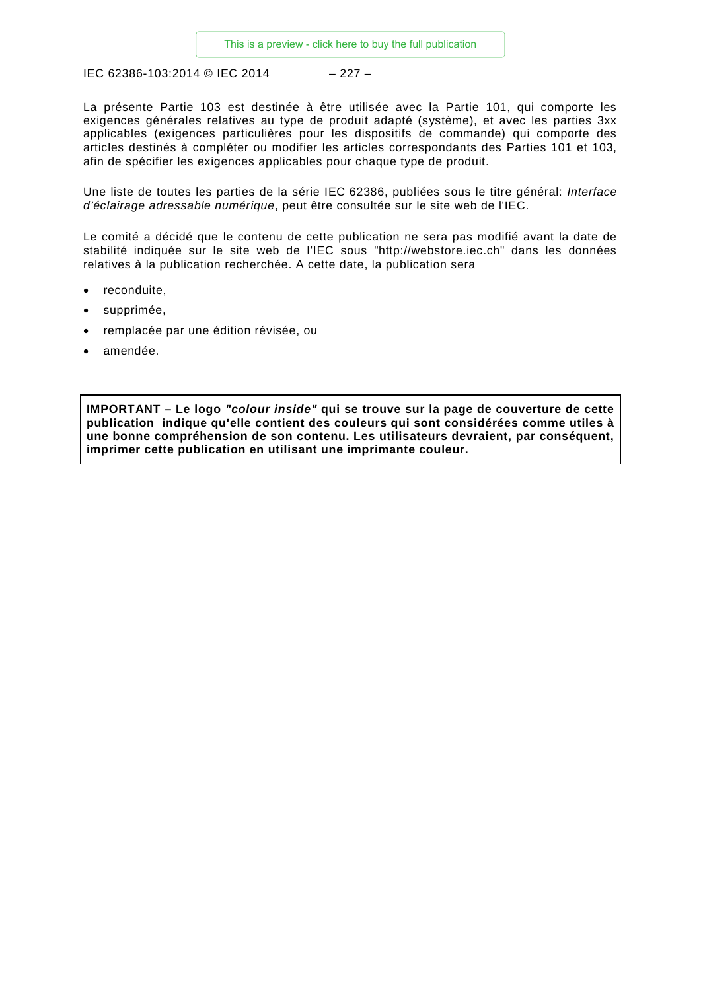IEC 62386-103:2014 © IEC 2014 – 227 –

La présente Partie 103 est destinée à être utilisée avec la Partie 101, qui comporte les exigences générales relatives au type de produit adapté (système), et avec les parties 3xx applicables (exigences particulières pour les dispositifs de commande) qui comporte des articles destinés à compléter ou modifier les articles correspondants des Parties 101 et 103, afin de spécifier les exigences applicables pour chaque type de produit.

Une liste de toutes les parties de la série IEC 62386, publiées sous le titre général: *Interface d'éclairage adressable numérique*, peut être consultée sur le site web de l'IEC.

Le comité a décidé que le contenu de cette publication ne sera pas modifié avant la date de stabilité indiquée sur le site web de l'IEC sous "http://webstore.iec.ch" dans les données relatives à la publication recherchée. A cette date, la publication sera

- reconduite,
- supprimée.
- remplacée par une édition révisée, ou
- amendée.

**IMPORTANT – Le logo** *"colour inside"* **qui se trouve sur la page de couverture de cette publication indique qu'elle contient des couleurs qui sont considérées comme utiles à une bonne compréhension de son contenu. Les utilisateurs devraient, par conséquent, imprimer cette publication en utilisant une imprimante couleur.**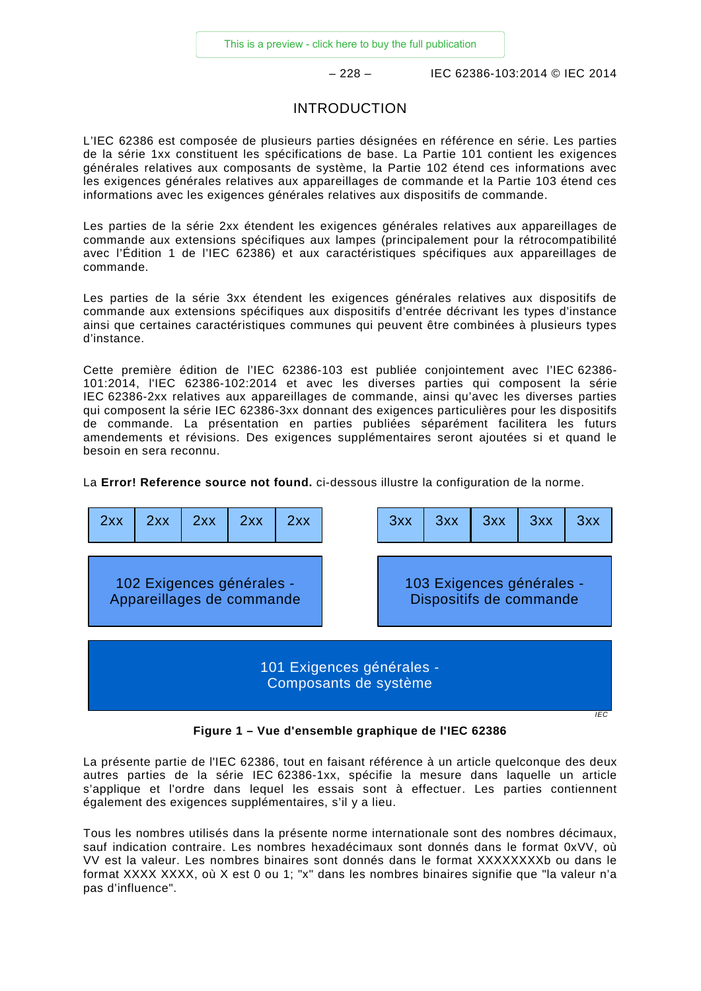$-228 -$  IEC 62386-103:2014 © IEC 2014

#### INTRODUCTION

<span id="page-27-0"></span>L'IEC 62386 est composée de plusieurs parties désignées en référence en série. Les parties de la série 1xx constituent les spécifications de base. La Partie 101 contient les exigences générales relatives aux composants de système, la Partie 102 étend ces informations avec les exigences générales relatives aux appareillages de commande et la Partie 103 étend ces informations avec les exigences générales relatives aux dispositifs de commande.

Les parties de la série 2xx étendent les exigences générales relatives aux appareillages de commande aux extensions spécifiques aux lampes (principalement pour la rétrocompatibilité avec l'Édition 1 de l'IEC 62386) et aux caractéristiques spécifiques aux appareillages de commande.

Les parties de la série 3xx étendent les exigences générales relatives aux dispositifs de commande aux extensions spécifiques aux dispositifs d'entrée décrivant les types d'instance ainsi que certaines caractéristiques communes qui peuvent être combinées à plusieurs types d'instance.

Cette première édition de l'IEC 62386-103 est publiée conjointement avec l'IEC 62386- 101:2014, l'IEC 62386-102:2014 et avec les diverses parties qui composent la série IEC 62386-2xx relatives aux appareillages de commande, ainsi qu'avec les diverses parties qui composent la série IEC 62386-3xx donnant des exigences particulières pour les dispositifs de commande. La présentation en parties publiées séparément facilitera les futurs amendements et révisions. Des exigences supplémentaires seront ajoutées si et quand le besoin en sera reconnu.

La **Error! Reference source not found.** ci-dessous illustre la configuration de la norme.

<span id="page-27-1"></span>

**Figure 1 – Vue d'ensemble graphique de l'IEC 62386**

La présente partie de l'IEC 62386, tout en faisant référence à un article quelconque des deux autres parties de la série IEC 62386-1xx, spécifie la mesure dans laquelle un article s'applique et l'ordre dans lequel les essais sont à effectuer. Les parties contiennent également des exigences supplémentaires, s'il y a lieu.

Tous les nombres utilisés dans la présente norme internationale sont des nombres décimaux, sauf indication contraire. Les nombres hexadécimaux sont donnés dans le format 0xVV, où VV est la valeur. Les nombres binaires sont donnés dans le format XXXXXXXXb ou dans le format XXXX XXXX, où X est 0 ou 1; "x" dans les nombres binaires signifie que "la valeur n'a pas d'influence".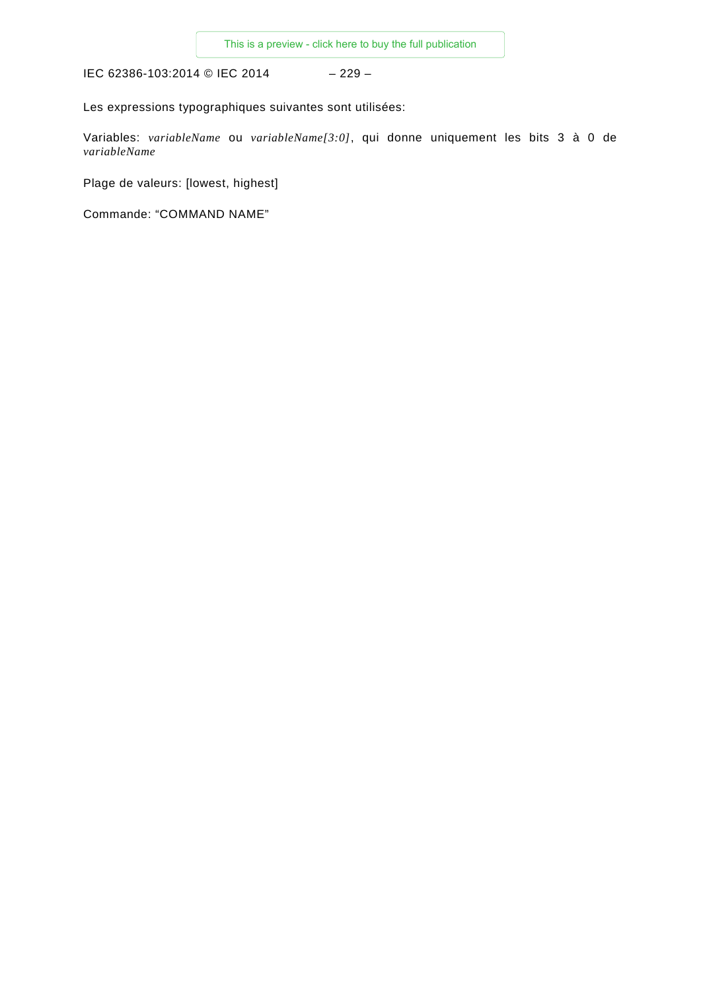IEC 62386-103:2014 © IEC 2014 – 229 –

Les expressions typographiques suivantes sont utilisées:

Variables: *variableName* ou *variableName[3:0]*, qui donne uniquement les bits 3 à 0 de *variableName*

Plage de valeurs: [lowest, highest]

Commande: "COMMAND NAME"